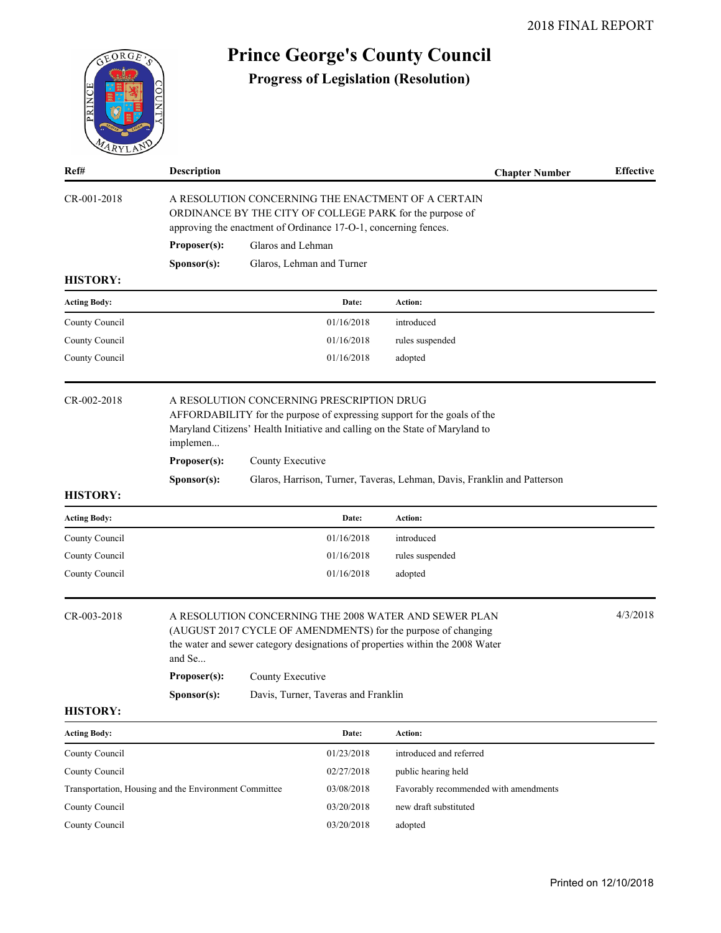| <b>Prince George's County Council</b><br>EORGE,       |                                                                                                                                                                                                                                                   |                                                                                                                                                                                   |                                           |                                                                                                                                                                                                                                      |                  |  |  |  |  |
|-------------------------------------------------------|---------------------------------------------------------------------------------------------------------------------------------------------------------------------------------------------------------------------------------------------------|-----------------------------------------------------------------------------------------------------------------------------------------------------------------------------------|-------------------------------------------|--------------------------------------------------------------------------------------------------------------------------------------------------------------------------------------------------------------------------------------|------------------|--|--|--|--|
| PRINCE                                                |                                                                                                                                                                                                                                                   |                                                                                                                                                                                   |                                           | <b>Progress of Legislation (Resolution)</b>                                                                                                                                                                                          |                  |  |  |  |  |
| Ref#                                                  | Description                                                                                                                                                                                                                                       |                                                                                                                                                                                   |                                           | <b>Chapter Number</b>                                                                                                                                                                                                                | <b>Effective</b> |  |  |  |  |
| CR-001-2018                                           |                                                                                                                                                                                                                                                   | A RESOLUTION CONCERNING THE ENACTMENT OF A CERTAIN<br>ORDINANCE BY THE CITY OF COLLEGE PARK for the purpose of<br>approving the enactment of Ordinance 17-O-1, concerning fences. |                                           |                                                                                                                                                                                                                                      |                  |  |  |  |  |
|                                                       | Proposer(s):                                                                                                                                                                                                                                      | Glaros and Lehman                                                                                                                                                                 |                                           |                                                                                                                                                                                                                                      |                  |  |  |  |  |
|                                                       | Sponsor(s):                                                                                                                                                                                                                                       |                                                                                                                                                                                   | Glaros, Lehman and Turner                 |                                                                                                                                                                                                                                      |                  |  |  |  |  |
| <b>HISTORY:</b>                                       |                                                                                                                                                                                                                                                   |                                                                                                                                                                                   |                                           |                                                                                                                                                                                                                                      |                  |  |  |  |  |
| <b>Acting Body:</b>                                   |                                                                                                                                                                                                                                                   |                                                                                                                                                                                   | Date:                                     | Action:                                                                                                                                                                                                                              |                  |  |  |  |  |
| County Council                                        |                                                                                                                                                                                                                                                   |                                                                                                                                                                                   | 01/16/2018                                | introduced                                                                                                                                                                                                                           |                  |  |  |  |  |
| County Council                                        |                                                                                                                                                                                                                                                   |                                                                                                                                                                                   | 01/16/2018                                | rules suspended                                                                                                                                                                                                                      |                  |  |  |  |  |
| County Council                                        |                                                                                                                                                                                                                                                   |                                                                                                                                                                                   | 01/16/2018                                | adopted                                                                                                                                                                                                                              |                  |  |  |  |  |
| CR-002-2018                                           | implemen<br>Proposer(s):<br>Sponsor(s):                                                                                                                                                                                                           | County Executive                                                                                                                                                                  | A RESOLUTION CONCERNING PRESCRIPTION DRUG | AFFORDABILITY for the purpose of expressing support for the goals of the<br>Maryland Citizens' Health Initiative and calling on the State of Maryland to<br>Glaros, Harrison, Turner, Taveras, Lehman, Davis, Franklin and Patterson |                  |  |  |  |  |
| <b>HISTORY:</b>                                       |                                                                                                                                                                                                                                                   |                                                                                                                                                                                   |                                           |                                                                                                                                                                                                                                      |                  |  |  |  |  |
| <b>Acting Body:</b>                                   |                                                                                                                                                                                                                                                   |                                                                                                                                                                                   | Date:                                     | Action:                                                                                                                                                                                                                              |                  |  |  |  |  |
| County Council                                        |                                                                                                                                                                                                                                                   |                                                                                                                                                                                   | 01/16/2018                                | introduced                                                                                                                                                                                                                           |                  |  |  |  |  |
| County Council                                        |                                                                                                                                                                                                                                                   |                                                                                                                                                                                   | 01/16/2018                                | rules suspended                                                                                                                                                                                                                      |                  |  |  |  |  |
| County Council                                        |                                                                                                                                                                                                                                                   |                                                                                                                                                                                   | 01/16/2018                                | adopted                                                                                                                                                                                                                              |                  |  |  |  |  |
| CR-003-2018                                           | 4/3/2018<br>A RESOLUTION CONCERNING THE 2008 WATER AND SEWER PLAN<br>(AUGUST 2017 CYCLE OF AMENDMENTS) for the purpose of changing<br>the water and sewer category designations of properties within the 2008 Water<br>and Se<br>County Executive |                                                                                                                                                                                   |                                           |                                                                                                                                                                                                                                      |                  |  |  |  |  |
|                                                       | Proposer(s):                                                                                                                                                                                                                                      |                                                                                                                                                                                   |                                           |                                                                                                                                                                                                                                      |                  |  |  |  |  |
| <b>HISTORY:</b>                                       | Sponsor(s):                                                                                                                                                                                                                                       |                                                                                                                                                                                   | Davis, Turner, Taveras and Franklin       |                                                                                                                                                                                                                                      |                  |  |  |  |  |
|                                                       |                                                                                                                                                                                                                                                   |                                                                                                                                                                                   |                                           |                                                                                                                                                                                                                                      |                  |  |  |  |  |
| <b>Acting Body:</b>                                   |                                                                                                                                                                                                                                                   |                                                                                                                                                                                   | Date:                                     | Action:                                                                                                                                                                                                                              |                  |  |  |  |  |
| County Council                                        |                                                                                                                                                                                                                                                   |                                                                                                                                                                                   | 01/23/2018                                | introduced and referred                                                                                                                                                                                                              |                  |  |  |  |  |
| County Council                                        |                                                                                                                                                                                                                                                   |                                                                                                                                                                                   | 02/27/2018                                | public hearing held                                                                                                                                                                                                                  |                  |  |  |  |  |
| Transportation, Housing and the Environment Committee |                                                                                                                                                                                                                                                   |                                                                                                                                                                                   | 03/08/2018                                | Favorably recommended with amendments                                                                                                                                                                                                |                  |  |  |  |  |
| County Council                                        |                                                                                                                                                                                                                                                   |                                                                                                                                                                                   | 03/20/2018                                | new draft substituted                                                                                                                                                                                                                |                  |  |  |  |  |

County Council 03/20/2018 adopted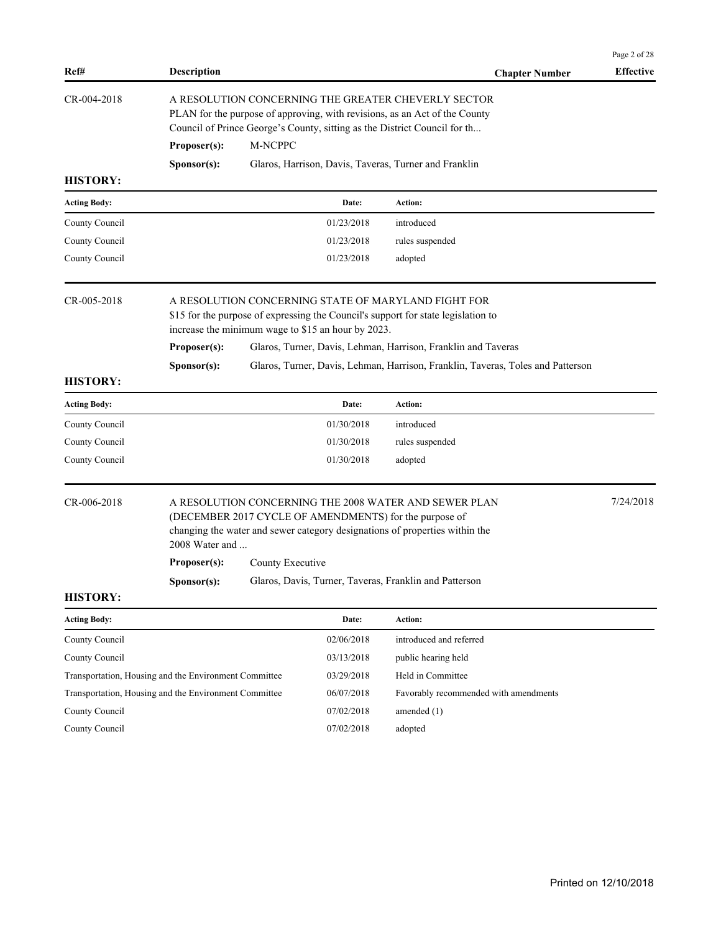| Ref#                | <b>Description</b>                                    |                                                                                                                                                                                                                  |            | <b>Chapter Number</b>                                                           | Page 2 of 28<br><b>Effective</b> |  |  |  |
|---------------------|-------------------------------------------------------|------------------------------------------------------------------------------------------------------------------------------------------------------------------------------------------------------------------|------------|---------------------------------------------------------------------------------|----------------------------------|--|--|--|
| CR-004-2018         |                                                       | A RESOLUTION CONCERNING THE GREATER CHEVERLY SECTOR<br>PLAN for the purpose of approving, with revisions, as an Act of the County<br>Council of Prince George's County, sitting as the District Council for th   |            |                                                                                 |                                  |  |  |  |
|                     | Proposer(s):                                          | M-NCPPC                                                                                                                                                                                                          |            |                                                                                 |                                  |  |  |  |
|                     | Sponsor(s):                                           |                                                                                                                                                                                                                  |            | Glaros, Harrison, Davis, Taveras, Turner and Franklin                           |                                  |  |  |  |
| <b>HISTORY:</b>     |                                                       |                                                                                                                                                                                                                  |            |                                                                                 |                                  |  |  |  |
| <b>Acting Body:</b> |                                                       |                                                                                                                                                                                                                  | Date:      | Action:                                                                         |                                  |  |  |  |
| County Council      |                                                       |                                                                                                                                                                                                                  | 01/23/2018 | introduced                                                                      |                                  |  |  |  |
| County Council      |                                                       |                                                                                                                                                                                                                  | 01/23/2018 | rules suspended                                                                 |                                  |  |  |  |
| County Council      |                                                       |                                                                                                                                                                                                                  | 01/23/2018 | adopted                                                                         |                                  |  |  |  |
| CR-005-2018         |                                                       | A RESOLUTION CONCERNING STATE OF MARYLAND FIGHT FOR<br>\$15 for the purpose of expressing the Council's support for state legislation to<br>increase the minimum wage to \$15 an hour by 2023.                   |            |                                                                                 |                                  |  |  |  |
|                     | Proposer(s):                                          | Glaros, Turner, Davis, Lehman, Harrison, Franklin and Taveras                                                                                                                                                    |            |                                                                                 |                                  |  |  |  |
|                     | Sponsor(s):                                           |                                                                                                                                                                                                                  |            | Glaros, Turner, Davis, Lehman, Harrison, Franklin, Taveras, Toles and Patterson |                                  |  |  |  |
| <b>HISTORY:</b>     |                                                       |                                                                                                                                                                                                                  |            |                                                                                 |                                  |  |  |  |
| <b>Acting Body:</b> |                                                       |                                                                                                                                                                                                                  | Date:      | Action:                                                                         |                                  |  |  |  |
| County Council      |                                                       |                                                                                                                                                                                                                  | 01/30/2018 | introduced                                                                      |                                  |  |  |  |
| County Council      |                                                       |                                                                                                                                                                                                                  | 01/30/2018 | rules suspended                                                                 |                                  |  |  |  |
| County Council      |                                                       |                                                                                                                                                                                                                  | 01/30/2018 | adopted                                                                         |                                  |  |  |  |
| CR-006-2018         |                                                       | A RESOLUTION CONCERNING THE 2008 WATER AND SEWER PLAN<br>(DECEMBER 2017 CYCLE OF AMENDMENTS) for the purpose of<br>changing the water and sewer category designations of properties within the<br>2008 Water and |            |                                                                                 |                                  |  |  |  |
|                     | Proposer(s):                                          | County Executive                                                                                                                                                                                                 |            |                                                                                 |                                  |  |  |  |
|                     | Sponsor(s):                                           |                                                                                                                                                                                                                  |            | Glaros, Davis, Turner, Taveras, Franklin and Patterson                          |                                  |  |  |  |
| <b>HISTORY:</b>     |                                                       |                                                                                                                                                                                                                  |            |                                                                                 |                                  |  |  |  |
| <b>Acting Body:</b> |                                                       |                                                                                                                                                                                                                  | Date:      | Action:                                                                         |                                  |  |  |  |
| County Council      |                                                       |                                                                                                                                                                                                                  | 02/06/2018 | introduced and referred                                                         |                                  |  |  |  |
| County Council      |                                                       |                                                                                                                                                                                                                  | 03/13/2018 | public hearing held                                                             |                                  |  |  |  |
|                     | Transportation, Housing and the Environment Committee |                                                                                                                                                                                                                  | 03/29/2018 | Held in Committee                                                               |                                  |  |  |  |
|                     | Transportation, Housing and the Environment Committee |                                                                                                                                                                                                                  | 06/07/2018 | Favorably recommended with amendments                                           |                                  |  |  |  |
| County Council      |                                                       |                                                                                                                                                                                                                  | 07/02/2018 | amended $(1)$                                                                   |                                  |  |  |  |
| County Council      |                                                       |                                                                                                                                                                                                                  | 07/02/2018 | adopted                                                                         |                                  |  |  |  |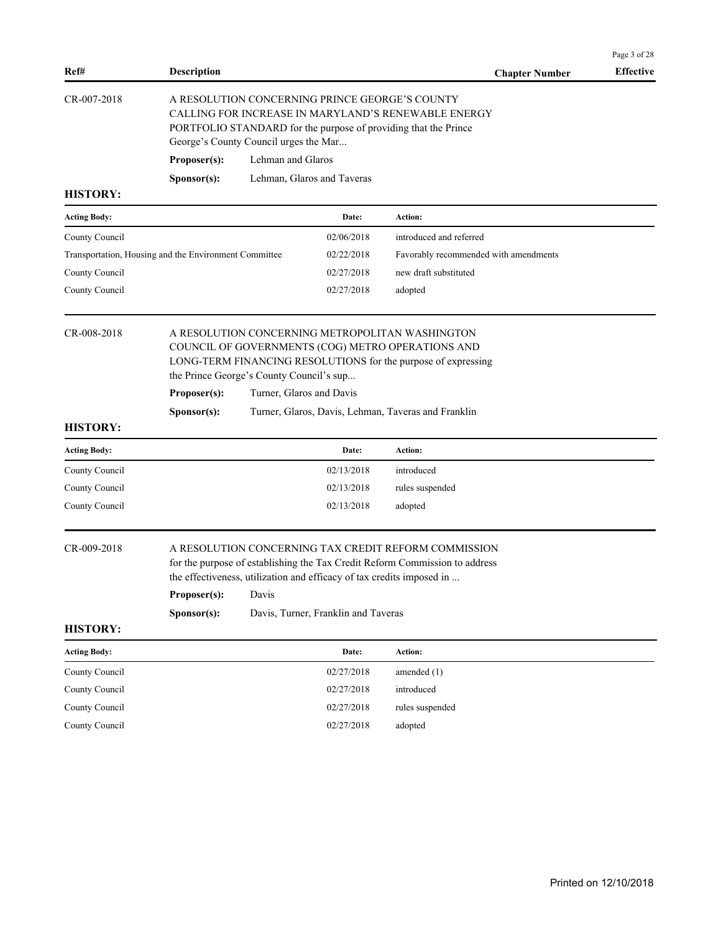|                                                       |                                                                                                                                                                                                                   |                                                                      |                                     |                                                                                                                                                                                                                              | Page 3 of 28     |  |  |
|-------------------------------------------------------|-------------------------------------------------------------------------------------------------------------------------------------------------------------------------------------------------------------------|----------------------------------------------------------------------|-------------------------------------|------------------------------------------------------------------------------------------------------------------------------------------------------------------------------------------------------------------------------|------------------|--|--|
| Ref#                                                  | <b>Description</b>                                                                                                                                                                                                |                                                                      |                                     | <b>Chapter Number</b>                                                                                                                                                                                                        | <b>Effective</b> |  |  |
| CR-007-2018                                           | A RESOLUTION CONCERNING PRINCE GEORGE'S COUNTY<br>CALLING FOR INCREASE IN MARYLAND'S RENEWABLE ENERGY<br>PORTFOLIO STANDARD for the purpose of providing that the Prince<br>George's County Council urges the Mar |                                                                      |                                     |                                                                                                                                                                                                                              |                  |  |  |
|                                                       | Proposer(s):                                                                                                                                                                                                      | Lehman and Glaros                                                    |                                     |                                                                                                                                                                                                                              |                  |  |  |
|                                                       | Sponsor(s):                                                                                                                                                                                                       |                                                                      | Lehman, Glaros and Taveras          |                                                                                                                                                                                                                              |                  |  |  |
| <b>HISTORY:</b>                                       |                                                                                                                                                                                                                   |                                                                      |                                     |                                                                                                                                                                                                                              |                  |  |  |
| <b>Acting Body:</b>                                   |                                                                                                                                                                                                                   |                                                                      | Date:                               | Action:                                                                                                                                                                                                                      |                  |  |  |
| County Council                                        |                                                                                                                                                                                                                   |                                                                      | 02/06/2018                          | introduced and referred                                                                                                                                                                                                      |                  |  |  |
| Transportation, Housing and the Environment Committee |                                                                                                                                                                                                                   |                                                                      | 02/22/2018                          | Favorably recommended with amendments                                                                                                                                                                                        |                  |  |  |
| County Council                                        |                                                                                                                                                                                                                   |                                                                      | 02/27/2018                          | new draft substituted                                                                                                                                                                                                        |                  |  |  |
| County Council                                        |                                                                                                                                                                                                                   |                                                                      | 02/27/2018                          | adopted                                                                                                                                                                                                                      |                  |  |  |
| CR-008-2018                                           | Proposer(s):<br>Sponsor(s):                                                                                                                                                                                       | the Prince George's County Council's sup<br>Turner, Glaros and Davis |                                     | A RESOLUTION CONCERNING METROPOLITAN WASHINGTON<br>COUNCIL OF GOVERNMENTS (COG) METRO OPERATIONS AND<br>LONG-TERM FINANCING RESOLUTIONS for the purpose of expressing<br>Turner, Glaros, Davis, Lehman, Taveras and Franklin |                  |  |  |
| <b>HISTORY:</b>                                       |                                                                                                                                                                                                                   |                                                                      |                                     |                                                                                                                                                                                                                              |                  |  |  |
| <b>Acting Body:</b>                                   |                                                                                                                                                                                                                   |                                                                      | Date:                               | Action:                                                                                                                                                                                                                      |                  |  |  |
| County Council                                        |                                                                                                                                                                                                                   |                                                                      | 02/13/2018                          | introduced                                                                                                                                                                                                                   |                  |  |  |
| County Council                                        |                                                                                                                                                                                                                   |                                                                      | 02/13/2018                          | rules suspended                                                                                                                                                                                                              |                  |  |  |
| County Council                                        |                                                                                                                                                                                                                   |                                                                      | 02/13/2018                          | adopted                                                                                                                                                                                                                      |                  |  |  |
| CR-009-2018                                           | Proposer(s):<br>Sponsor(s):                                                                                                                                                                                       | Davis                                                                | Davis, Turner, Franklin and Taveras | A RESOLUTION CONCERNING TAX CREDIT REFORM COMMISSION<br>for the purpose of establishing the Tax Credit Reform Commission to address<br>the effectiveness, utilization and efficacy of tax credits imposed in                 |                  |  |  |
| <b>HISTORY:</b>                                       |                                                                                                                                                                                                                   |                                                                      |                                     |                                                                                                                                                                                                                              |                  |  |  |
| <b>Acting Body:</b>                                   |                                                                                                                                                                                                                   |                                                                      | Date:                               | Action:                                                                                                                                                                                                                      |                  |  |  |
| County Council                                        |                                                                                                                                                                                                                   |                                                                      | 02/27/2018                          | amended $(1)$                                                                                                                                                                                                                |                  |  |  |
| County Council                                        |                                                                                                                                                                                                                   |                                                                      | 02/27/2018                          | introduced                                                                                                                                                                                                                   |                  |  |  |
| County Council                                        |                                                                                                                                                                                                                   |                                                                      | 02/27/2018                          | rules suspended                                                                                                                                                                                                              |                  |  |  |
| County Council                                        |                                                                                                                                                                                                                   |                                                                      | 02/27/2018                          | adopted                                                                                                                                                                                                                      |                  |  |  |
|                                                       |                                                                                                                                                                                                                   |                                                                      |                                     |                                                                                                                                                                                                                              |                  |  |  |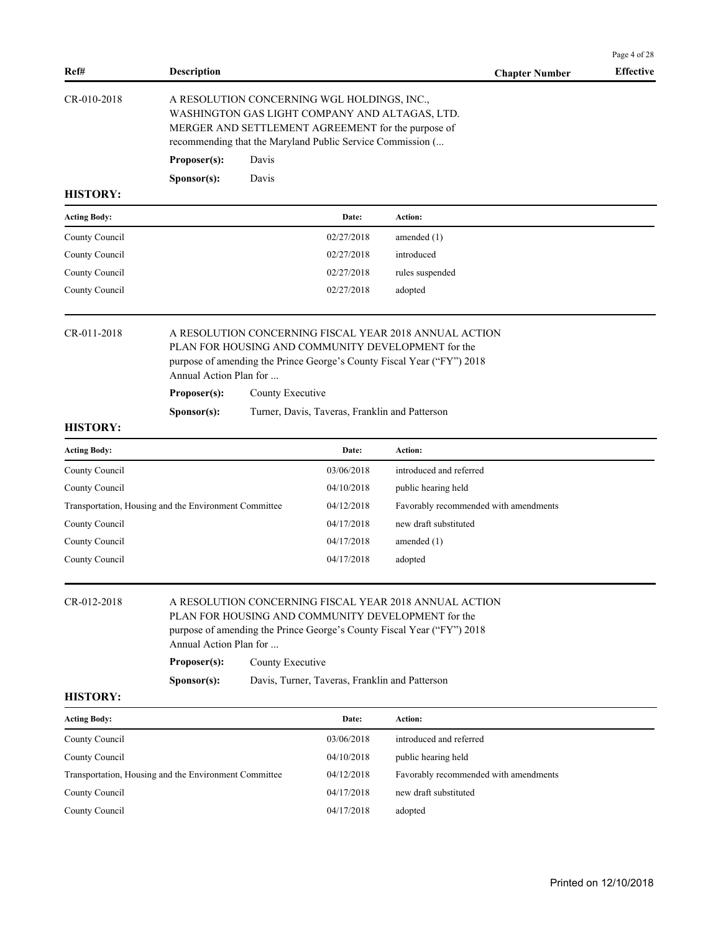|                     |                                                       |                                                                                                                                                                                                                   |                                                |                                                                                                                                                                                        | Page 4 of 28     |  |  |
|---------------------|-------------------------------------------------------|-------------------------------------------------------------------------------------------------------------------------------------------------------------------------------------------------------------------|------------------------------------------------|----------------------------------------------------------------------------------------------------------------------------------------------------------------------------------------|------------------|--|--|
| Ref#                | <b>Description</b>                                    |                                                                                                                                                                                                                   |                                                | <b>Chapter Number</b>                                                                                                                                                                  | <b>Effective</b> |  |  |
| CR-010-2018         |                                                       | A RESOLUTION CONCERNING WGL HOLDINGS, INC.,<br>WASHINGTON GAS LIGHT COMPANY AND ALTAGAS, LTD.<br>MERGER AND SETTLEMENT AGREEMENT for the purpose of<br>recommending that the Maryland Public Service Commission ( |                                                |                                                                                                                                                                                        |                  |  |  |
|                     | Proposer(s):                                          | Davis                                                                                                                                                                                                             |                                                |                                                                                                                                                                                        |                  |  |  |
|                     | Sponsor(s):                                           | Davis                                                                                                                                                                                                             |                                                |                                                                                                                                                                                        |                  |  |  |
| <b>HISTORY:</b>     |                                                       |                                                                                                                                                                                                                   |                                                |                                                                                                                                                                                        |                  |  |  |
| <b>Acting Body:</b> |                                                       |                                                                                                                                                                                                                   | Date:                                          | Action:                                                                                                                                                                                |                  |  |  |
| County Council      |                                                       |                                                                                                                                                                                                                   | 02/27/2018                                     | amended $(1)$                                                                                                                                                                          |                  |  |  |
| County Council      |                                                       |                                                                                                                                                                                                                   | 02/27/2018                                     | introduced                                                                                                                                                                             |                  |  |  |
| County Council      |                                                       |                                                                                                                                                                                                                   | 02/27/2018                                     | rules suspended                                                                                                                                                                        |                  |  |  |
| County Council      |                                                       |                                                                                                                                                                                                                   | 02/27/2018                                     | adopted                                                                                                                                                                                |                  |  |  |
| CR-011-2018         | Annual Action Plan for<br>Proposer(s):<br>Sponsor(s): | County Executive                                                                                                                                                                                                  | Turner, Davis, Taveras, Franklin and Patterson | A RESOLUTION CONCERNING FISCAL YEAR 2018 ANNUAL ACTION<br>PLAN FOR HOUSING AND COMMUNITY DEVELOPMENT for the<br>purpose of amending the Prince George's County Fiscal Year ("FY") 2018 |                  |  |  |
| <b>HISTORY:</b>     |                                                       |                                                                                                                                                                                                                   |                                                |                                                                                                                                                                                        |                  |  |  |
| <b>Acting Body:</b> |                                                       |                                                                                                                                                                                                                   | Date:                                          | Action:                                                                                                                                                                                |                  |  |  |
| County Council      |                                                       |                                                                                                                                                                                                                   | 03/06/2018                                     | introduced and referred                                                                                                                                                                |                  |  |  |
| County Council      |                                                       |                                                                                                                                                                                                                   | 04/10/2018                                     | public hearing held                                                                                                                                                                    |                  |  |  |
|                     | Transportation, Housing and the Environment Committee |                                                                                                                                                                                                                   | 04/12/2018                                     | Favorably recommended with amendments                                                                                                                                                  |                  |  |  |
| County Council      |                                                       |                                                                                                                                                                                                                   | 04/17/2018                                     | new draft substituted                                                                                                                                                                  |                  |  |  |
| County Council      |                                                       |                                                                                                                                                                                                                   | 04/17/2018                                     | amended $(1)$                                                                                                                                                                          |                  |  |  |
| County Council      |                                                       |                                                                                                                                                                                                                   | 04/17/2018                                     | adopted                                                                                                                                                                                |                  |  |  |
| CR-012-2018         | Annual Action Plan for<br>Proposer(s):<br>Sponsor(s): | County Executive                                                                                                                                                                                                  | Davis, Turner, Taveras, Franklin and Patterson | A RESOLUTION CONCERNING FISCAL YEAR 2018 ANNUAL ACTION<br>PLAN FOR HOUSING AND COMMUNITY DEVELOPMENT for the<br>purpose of amending the Prince George's County Fiscal Year ("FY") 2018 |                  |  |  |
| <b>HISTORY:</b>     |                                                       |                                                                                                                                                                                                                   |                                                |                                                                                                                                                                                        |                  |  |  |
| <b>Acting Body:</b> |                                                       |                                                                                                                                                                                                                   | Date:                                          | Action:                                                                                                                                                                                |                  |  |  |
| County Council      |                                                       |                                                                                                                                                                                                                   | 03/06/2018                                     | introduced and referred                                                                                                                                                                |                  |  |  |
| County Council      |                                                       |                                                                                                                                                                                                                   | 04/10/2018                                     | public hearing held                                                                                                                                                                    |                  |  |  |
|                     | Transportation, Housing and the Environment Committee |                                                                                                                                                                                                                   | 04/12/2018                                     | Favorably recommended with amendments                                                                                                                                                  |                  |  |  |
| County Council      |                                                       |                                                                                                                                                                                                                   | 04/17/2018                                     | new draft substituted                                                                                                                                                                  |                  |  |  |
| County Council      |                                                       |                                                                                                                                                                                                                   | 04/17/2018                                     | adopted                                                                                                                                                                                |                  |  |  |
|                     |                                                       |                                                                                                                                                                                                                   |                                                |                                                                                                                                                                                        |                  |  |  |
|                     |                                                       |                                                                                                                                                                                                                   |                                                |                                                                                                                                                                                        |                  |  |  |
|                     |                                                       |                                                                                                                                                                                                                   |                                                |                                                                                                                                                                                        |                  |  |  |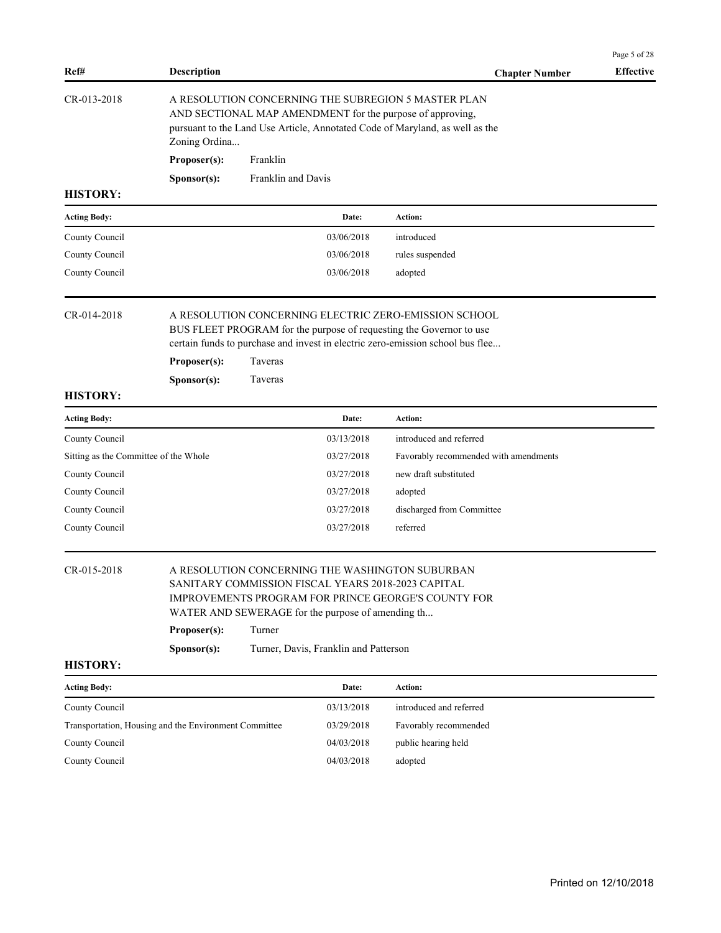| Ref#            | <b>Description</b>   |                                                                                                                                                                                                  | <b>Chapter Number</b> | <b>Effective</b> |
|-----------------|----------------------|--------------------------------------------------------------------------------------------------------------------------------------------------------------------------------------------------|-----------------------|------------------|
| $CR-013-2018$   | Zoning Ordina        | A RESOLUTION CONCERNING THE SUBREGION 5 MASTER PLAN<br>AND SECTIONAL MAP AMENDMENT for the purpose of approving,<br>pursuant to the Land Use Article, Annotated Code of Maryland, as well as the |                       |                  |
|                 | Proposer(s):         | Franklin                                                                                                                                                                                         |                       |                  |
|                 | S <b>p</b> onsor(s): | Franklin and Davis                                                                                                                                                                               |                       |                  |
| <b>HISTORY:</b> |                      |                                                                                                                                                                                                  |                       |                  |

| <b>Acting Body:</b> | Date:      | Action:         |
|---------------------|------------|-----------------|
| County Council      | 03/06/2018 | introduced      |
| County Council      | 03/06/2018 | rules suspended |
| County Council      | 03/06/2018 | adopted         |

CR-014-2018 A RESOLUTION CONCERNING ELECTRIC ZERO-EMISSION SCHOOL BUS FLEET PROGRAM for the purpose of requesting the Governor to use

certain funds to purchase and invest in electric zero-emission school bus flee...

| Proposer(s):         | <b>Taveras</b> |
|----------------------|----------------|
| S <b>p</b> onsor(s): | <b>Taveras</b> |

# **HISTORY:**

| <b>Acting Body:</b>                   | Date:      | Action:                               |
|---------------------------------------|------------|---------------------------------------|
| County Council                        | 03/13/2018 | introduced and referred               |
| Sitting as the Committee of the Whole | 03/27/2018 | Favorably recommended with amendments |
| County Council                        | 03/27/2018 | new draft substituted                 |
| County Council                        | 03/27/2018 | adopted                               |
| County Council                        | 03/27/2018 | discharged from Committee             |
| County Council                        | 03/27/2018 | referred                              |

## CR-015-2018 A RESOLUTION CONCERNING THE WASHINGTON SUBURBAN SANITARY COMMISSION FISCAL YEARS 2018-2023 CAPITAL IMPROVEMENTS PROGRAM FOR PRINCE GEORGE'S COUNTY FOR

WATER AND SEWERAGE for the purpose of amending th...

| Proposer(s):         | Turner                                |
|----------------------|---------------------------------------|
| S <b>p</b> onsor(s): | Turner, Davis, Franklin and Patterson |

### **HISTORY:**

| <b>Acting Body:</b>                                   | Date:      | Action:                 |
|-------------------------------------------------------|------------|-------------------------|
| County Council                                        | 03/13/2018 | introduced and referred |
| Transportation, Housing and the Environment Committee | 03/29/2018 | Favorably recommended   |
| County Council                                        | 04/03/2018 | public hearing held     |
| County Council                                        | 04/03/2018 | adopted                 |

Page 5 of 28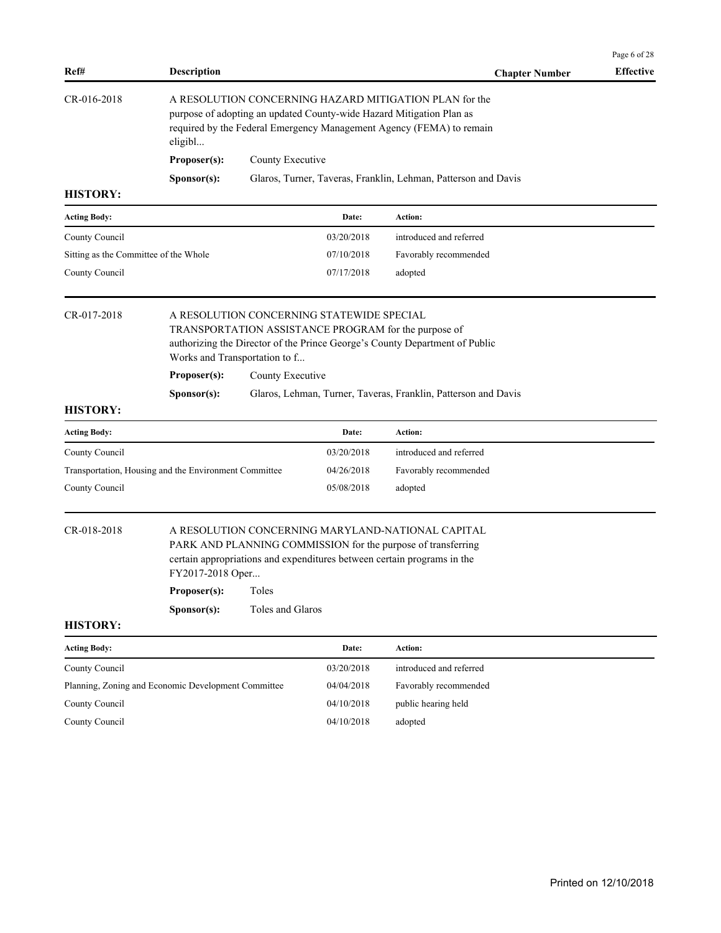| Ref#                                                  | <b>Description</b>                                                                                                                                                                                                |                  |            | <b>Chapter Number</b>                                          | <b>Effective</b> |  |  |  |
|-------------------------------------------------------|-------------------------------------------------------------------------------------------------------------------------------------------------------------------------------------------------------------------|------------------|------------|----------------------------------------------------------------|------------------|--|--|--|
| CR-016-2018                                           | A RESOLUTION CONCERNING HAZARD MITIGATION PLAN for the<br>purpose of adopting an updated County-wide Hazard Mitigation Plan as<br>required by the Federal Emergency Management Agency (FEMA) to remain<br>eligibl |                  |            |                                                                |                  |  |  |  |
|                                                       | Proposer(s):                                                                                                                                                                                                      | County Executive |            |                                                                |                  |  |  |  |
|                                                       | Sponsor(s):                                                                                                                                                                                                       |                  |            | Glaros, Turner, Taveras, Franklin, Lehman, Patterson and Davis |                  |  |  |  |
| <b>HISTORY:</b>                                       |                                                                                                                                                                                                                   |                  |            |                                                                |                  |  |  |  |
| <b>Acting Body:</b>                                   |                                                                                                                                                                                                                   |                  | Date:      | Action:                                                        |                  |  |  |  |
| County Council                                        |                                                                                                                                                                                                                   |                  | 03/20/2018 | introduced and referred                                        |                  |  |  |  |
| Sitting as the Committee of the Whole                 |                                                                                                                                                                                                                   |                  | 07/10/2018 | Favorably recommended                                          |                  |  |  |  |
| County Council                                        |                                                                                                                                                                                                                   |                  | 07/17/2018 | adopted                                                        |                  |  |  |  |
| CR-017-2018                                           | A RESOLUTION CONCERNING STATEWIDE SPECIAL<br>TRANSPORTATION ASSISTANCE PROGRAM for the purpose of<br>authorizing the Director of the Prince George's County Department of Public<br>Works and Transportation to f |                  |            |                                                                |                  |  |  |  |
|                                                       | Proposer(s):                                                                                                                                                                                                      | County Executive |            |                                                                |                  |  |  |  |
| <b>HISTORY:</b>                                       | Sponsor(s):                                                                                                                                                                                                       |                  |            | Glaros, Lehman, Turner, Taveras, Franklin, Patterson and Davis |                  |  |  |  |
| <b>Acting Body:</b>                                   |                                                                                                                                                                                                                   |                  | Date:      | Action:                                                        |                  |  |  |  |
| County Council                                        |                                                                                                                                                                                                                   |                  | 03/20/2018 | introduced and referred                                        |                  |  |  |  |
| Transportation, Housing and the Environment Committee |                                                                                                                                                                                                                   |                  | 04/26/2018 | Favorably recommended                                          |                  |  |  |  |
| County Council                                        |                                                                                                                                                                                                                   |                  | 05/08/2018 | adopted                                                        |                  |  |  |  |
| CR-018-2018                                           | A RESOLUTION CONCERNING MARYLAND-NATIONAL CAPITAL<br>PARK AND PLANNING COMMISSION for the purpose of transferring<br>certain appropriations and expenditures between certain programs in the<br>FY2017-2018 Oper  |                  |            |                                                                |                  |  |  |  |
|                                                       | Proposer(s):                                                                                                                                                                                                      | Toles            |            |                                                                |                  |  |  |  |
|                                                       | Sponsor(s):                                                                                                                                                                                                       | Toles and Glaros |            |                                                                |                  |  |  |  |
| <b>HISTORY:</b>                                       |                                                                                                                                                                                                                   |                  |            |                                                                |                  |  |  |  |
| <b>Acting Body:</b>                                   |                                                                                                                                                                                                                   |                  | Date:      | Action:                                                        |                  |  |  |  |
| County Council                                        |                                                                                                                                                                                                                   |                  | 03/20/2018 | introduced and referred                                        |                  |  |  |  |
| Planning, Zoning and Economic Development Committee   |                                                                                                                                                                                                                   |                  | 04/04/2018 | Favorably recommended                                          |                  |  |  |  |
| County Council                                        |                                                                                                                                                                                                                   |                  | 04/10/2018 | public hearing held                                            |                  |  |  |  |
| County Council                                        |                                                                                                                                                                                                                   |                  | 04/10/2018 | adopted                                                        |                  |  |  |  |
|                                                       |                                                                                                                                                                                                                   |                  |            |                                                                |                  |  |  |  |
|                                                       |                                                                                                                                                                                                                   |                  |            |                                                                |                  |  |  |  |
|                                                       |                                                                                                                                                                                                                   |                  |            |                                                                |                  |  |  |  |
|                                                       |                                                                                                                                                                                                                   |                  |            |                                                                |                  |  |  |  |
|                                                       |                                                                                                                                                                                                                   |                  |            |                                                                |                  |  |  |  |
|                                                       |                                                                                                                                                                                                                   |                  |            |                                                                |                  |  |  |  |

Page 6 of 28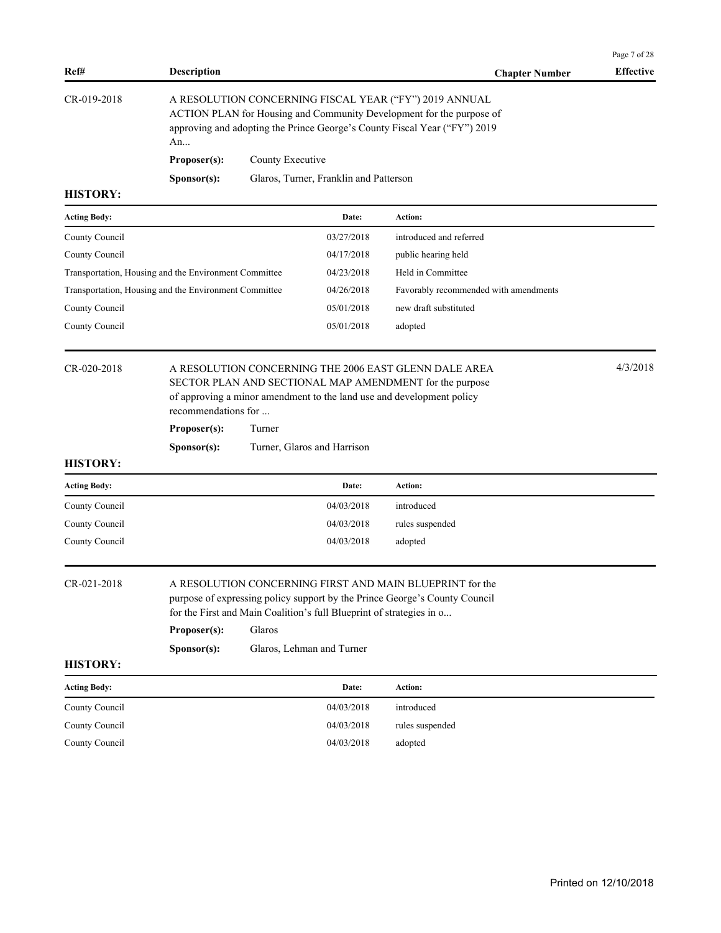| <b>Description</b><br>Ref#<br><b>Chapter Number</b><br>CR-019-2018<br>A RESOLUTION CONCERNING FISCAL YEAR ("FY") 2019 ANNUAL<br>ACTION PLAN for Housing and Community Development for the purpose of<br>approving and adopting the Prince George's County Fiscal Year ("FY") 2019<br>An<br>Proposer(s):<br>County Executive<br>Glaros, Turner, Franklin and Patterson<br>Sponsor(s):<br><b>HISTORY:</b><br><b>Acting Body:</b><br>Action:<br>Date:<br>03/27/2018<br>introduced and referred<br>County Council<br>04/17/2018<br>County Council<br>public hearing held<br>Held in Committee<br>Transportation, Housing and the Environment Committee<br>04/23/2018<br>Transportation, Housing and the Environment Committee<br>04/26/2018<br>Favorably recommended with amendments<br>new draft substituted<br>County Council<br>05/01/2018<br>County Council<br>05/01/2018<br>adopted<br>CR-020-2018<br>A RESOLUTION CONCERNING THE 2006 EAST GLENN DALE AREA<br>SECTOR PLAN AND SECTIONAL MAP AMENDMENT for the purpose<br>of approving a minor amendment to the land use and development policy<br>recommendations for<br>Proposer(s):<br>Turner<br>Sponsor(s):<br>Turner, Glaros and Harrison<br><b>HISTORY:</b><br><b>Acting Body:</b><br>Date:<br>Action:<br>04/03/2018<br>County Council<br>introduced<br>County Council<br>04/03/2018<br>rules suspended<br>County Council<br>04/03/2018<br>adopted<br>CR-021-2018<br>A RESOLUTION CONCERNING FIRST AND MAIN BLUEPRINT for the<br>purpose of expressing policy support by the Prince George's County Council<br>for the First and Main Coalition's full Blueprint of strategies in o<br>Proposer(s):<br>Glaros | Page 7 of 28     |
|----------------------------------------------------------------------------------------------------------------------------------------------------------------------------------------------------------------------------------------------------------------------------------------------------------------------------------------------------------------------------------------------------------------------------------------------------------------------------------------------------------------------------------------------------------------------------------------------------------------------------------------------------------------------------------------------------------------------------------------------------------------------------------------------------------------------------------------------------------------------------------------------------------------------------------------------------------------------------------------------------------------------------------------------------------------------------------------------------------------------------------------------------------------------------------------------------------------------------------------------------------------------------------------------------------------------------------------------------------------------------------------------------------------------------------------------------------------------------------------------------------------------------------------------------------------------------------------------------------------------------------------------------------------------|------------------|
|                                                                                                                                                                                                                                                                                                                                                                                                                                                                                                                                                                                                                                                                                                                                                                                                                                                                                                                                                                                                                                                                                                                                                                                                                                                                                                                                                                                                                                                                                                                                                                                                                                                                      | <b>Effective</b> |
|                                                                                                                                                                                                                                                                                                                                                                                                                                                                                                                                                                                                                                                                                                                                                                                                                                                                                                                                                                                                                                                                                                                                                                                                                                                                                                                                                                                                                                                                                                                                                                                                                                                                      |                  |
|                                                                                                                                                                                                                                                                                                                                                                                                                                                                                                                                                                                                                                                                                                                                                                                                                                                                                                                                                                                                                                                                                                                                                                                                                                                                                                                                                                                                                                                                                                                                                                                                                                                                      |                  |
|                                                                                                                                                                                                                                                                                                                                                                                                                                                                                                                                                                                                                                                                                                                                                                                                                                                                                                                                                                                                                                                                                                                                                                                                                                                                                                                                                                                                                                                                                                                                                                                                                                                                      |                  |
|                                                                                                                                                                                                                                                                                                                                                                                                                                                                                                                                                                                                                                                                                                                                                                                                                                                                                                                                                                                                                                                                                                                                                                                                                                                                                                                                                                                                                                                                                                                                                                                                                                                                      |                  |
|                                                                                                                                                                                                                                                                                                                                                                                                                                                                                                                                                                                                                                                                                                                                                                                                                                                                                                                                                                                                                                                                                                                                                                                                                                                                                                                                                                                                                                                                                                                                                                                                                                                                      |                  |
|                                                                                                                                                                                                                                                                                                                                                                                                                                                                                                                                                                                                                                                                                                                                                                                                                                                                                                                                                                                                                                                                                                                                                                                                                                                                                                                                                                                                                                                                                                                                                                                                                                                                      |                  |
|                                                                                                                                                                                                                                                                                                                                                                                                                                                                                                                                                                                                                                                                                                                                                                                                                                                                                                                                                                                                                                                                                                                                                                                                                                                                                                                                                                                                                                                                                                                                                                                                                                                                      |                  |
|                                                                                                                                                                                                                                                                                                                                                                                                                                                                                                                                                                                                                                                                                                                                                                                                                                                                                                                                                                                                                                                                                                                                                                                                                                                                                                                                                                                                                                                                                                                                                                                                                                                                      |                  |
|                                                                                                                                                                                                                                                                                                                                                                                                                                                                                                                                                                                                                                                                                                                                                                                                                                                                                                                                                                                                                                                                                                                                                                                                                                                                                                                                                                                                                                                                                                                                                                                                                                                                      |                  |
|                                                                                                                                                                                                                                                                                                                                                                                                                                                                                                                                                                                                                                                                                                                                                                                                                                                                                                                                                                                                                                                                                                                                                                                                                                                                                                                                                                                                                                                                                                                                                                                                                                                                      |                  |
|                                                                                                                                                                                                                                                                                                                                                                                                                                                                                                                                                                                                                                                                                                                                                                                                                                                                                                                                                                                                                                                                                                                                                                                                                                                                                                                                                                                                                                                                                                                                                                                                                                                                      |                  |
|                                                                                                                                                                                                                                                                                                                                                                                                                                                                                                                                                                                                                                                                                                                                                                                                                                                                                                                                                                                                                                                                                                                                                                                                                                                                                                                                                                                                                                                                                                                                                                                                                                                                      | 4/3/2018         |
|                                                                                                                                                                                                                                                                                                                                                                                                                                                                                                                                                                                                                                                                                                                                                                                                                                                                                                                                                                                                                                                                                                                                                                                                                                                                                                                                                                                                                                                                                                                                                                                                                                                                      |                  |
|                                                                                                                                                                                                                                                                                                                                                                                                                                                                                                                                                                                                                                                                                                                                                                                                                                                                                                                                                                                                                                                                                                                                                                                                                                                                                                                                                                                                                                                                                                                                                                                                                                                                      |                  |
|                                                                                                                                                                                                                                                                                                                                                                                                                                                                                                                                                                                                                                                                                                                                                                                                                                                                                                                                                                                                                                                                                                                                                                                                                                                                                                                                                                                                                                                                                                                                                                                                                                                                      |                  |
|                                                                                                                                                                                                                                                                                                                                                                                                                                                                                                                                                                                                                                                                                                                                                                                                                                                                                                                                                                                                                                                                                                                                                                                                                                                                                                                                                                                                                                                                                                                                                                                                                                                                      |                  |
|                                                                                                                                                                                                                                                                                                                                                                                                                                                                                                                                                                                                                                                                                                                                                                                                                                                                                                                                                                                                                                                                                                                                                                                                                                                                                                                                                                                                                                                                                                                                                                                                                                                                      |                  |
|                                                                                                                                                                                                                                                                                                                                                                                                                                                                                                                                                                                                                                                                                                                                                                                                                                                                                                                                                                                                                                                                                                                                                                                                                                                                                                                                                                                                                                                                                                                                                                                                                                                                      |                  |
|                                                                                                                                                                                                                                                                                                                                                                                                                                                                                                                                                                                                                                                                                                                                                                                                                                                                                                                                                                                                                                                                                                                                                                                                                                                                                                                                                                                                                                                                                                                                                                                                                                                                      |                  |
|                                                                                                                                                                                                                                                                                                                                                                                                                                                                                                                                                                                                                                                                                                                                                                                                                                                                                                                                                                                                                                                                                                                                                                                                                                                                                                                                                                                                                                                                                                                                                                                                                                                                      |                  |
|                                                                                                                                                                                                                                                                                                                                                                                                                                                                                                                                                                                                                                                                                                                                                                                                                                                                                                                                                                                                                                                                                                                                                                                                                                                                                                                                                                                                                                                                                                                                                                                                                                                                      |                  |
| Glaros, Lehman and Turner<br>Sponsor(s):                                                                                                                                                                                                                                                                                                                                                                                                                                                                                                                                                                                                                                                                                                                                                                                                                                                                                                                                                                                                                                                                                                                                                                                                                                                                                                                                                                                                                                                                                                                                                                                                                             |                  |
| <b>HISTORY:</b>                                                                                                                                                                                                                                                                                                                                                                                                                                                                                                                                                                                                                                                                                                                                                                                                                                                                                                                                                                                                                                                                                                                                                                                                                                                                                                                                                                                                                                                                                                                                                                                                                                                      |                  |
| Date:<br>Action:<br><b>Acting Body:</b>                                                                                                                                                                                                                                                                                                                                                                                                                                                                                                                                                                                                                                                                                                                                                                                                                                                                                                                                                                                                                                                                                                                                                                                                                                                                                                                                                                                                                                                                                                                                                                                                                              |                  |
| 04/03/2018<br>County Council<br>introduced                                                                                                                                                                                                                                                                                                                                                                                                                                                                                                                                                                                                                                                                                                                                                                                                                                                                                                                                                                                                                                                                                                                                                                                                                                                                                                                                                                                                                                                                                                                                                                                                                           |                  |
| County Council<br>04/03/2018<br>rules suspended                                                                                                                                                                                                                                                                                                                                                                                                                                                                                                                                                                                                                                                                                                                                                                                                                                                                                                                                                                                                                                                                                                                                                                                                                                                                                                                                                                                                                                                                                                                                                                                                                      |                  |
| County Council<br>04/03/2018<br>adopted                                                                                                                                                                                                                                                                                                                                                                                                                                                                                                                                                                                                                                                                                                                                                                                                                                                                                                                                                                                                                                                                                                                                                                                                                                                                                                                                                                                                                                                                                                                                                                                                                              |                  |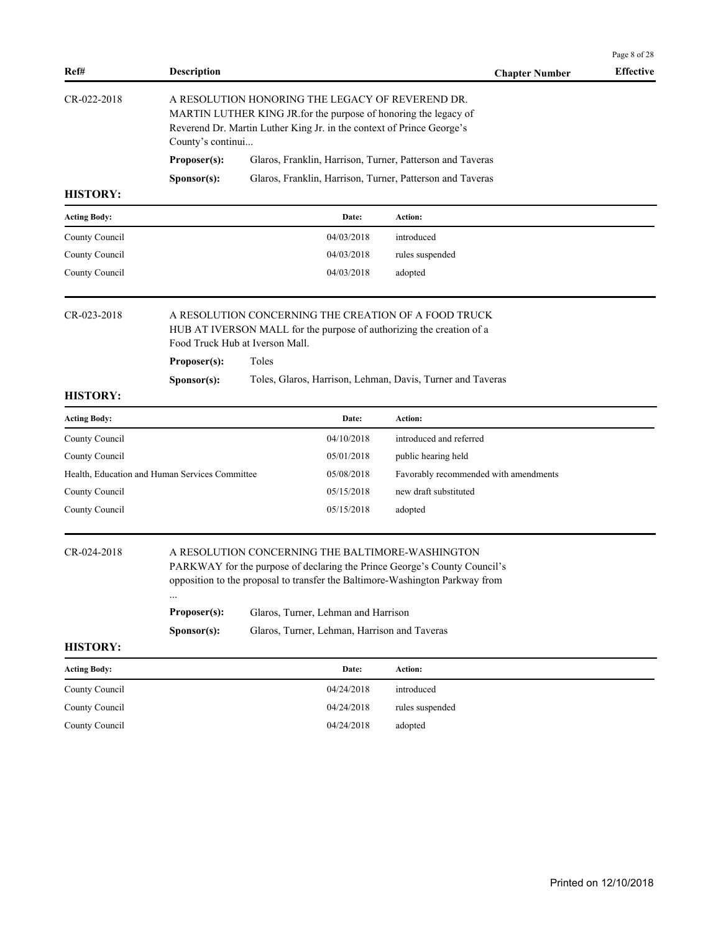|                     |                                                |                                                                                                                                                                                                               |                                       | Page 8 of 28     |
|---------------------|------------------------------------------------|---------------------------------------------------------------------------------------------------------------------------------------------------------------------------------------------------------------|---------------------------------------|------------------|
| Ref#                | <b>Description</b>                             |                                                                                                                                                                                                               | <b>Chapter Number</b>                 | <b>Effective</b> |
| CR-022-2018         | County's continui                              | A RESOLUTION HONORING THE LEGACY OF REVEREND DR.<br>MARTIN LUTHER KING JR.for the purpose of honoring the legacy of<br>Reverend Dr. Martin Luther King Jr. in the context of Prince George's                  |                                       |                  |
|                     | Proposer(s):                                   | Glaros, Franklin, Harrison, Turner, Patterson and Taveras                                                                                                                                                     |                                       |                  |
|                     | Sponsor(s):                                    | Glaros, Franklin, Harrison, Turner, Patterson and Taveras                                                                                                                                                     |                                       |                  |
| <b>HISTORY:</b>     |                                                |                                                                                                                                                                                                               |                                       |                  |
| <b>Acting Body:</b> |                                                | Date:                                                                                                                                                                                                         | <b>Action:</b>                        |                  |
| County Council      |                                                | 04/03/2018                                                                                                                                                                                                    | introduced                            |                  |
| County Council      |                                                | 04/03/2018                                                                                                                                                                                                    | rules suspended                       |                  |
| County Council      |                                                | 04/03/2018                                                                                                                                                                                                    | adopted                               |                  |
| CR-023-2018         |                                                | A RESOLUTION CONCERNING THE CREATION OF A FOOD TRUCK<br>HUB AT IVERSON MALL for the purpose of authorizing the creation of a<br>Food Truck Hub at Iverson Mall.                                               |                                       |                  |
|                     | Proposer(s):                                   | Toles                                                                                                                                                                                                         |                                       |                  |
|                     | Sponsor(s):                                    | Toles, Glaros, Harrison, Lehman, Davis, Turner and Taveras                                                                                                                                                    |                                       |                  |
| <b>HISTORY:</b>     |                                                |                                                                                                                                                                                                               |                                       |                  |
| <b>Acting Body:</b> |                                                | Date:                                                                                                                                                                                                         | Action:                               |                  |
| County Council      |                                                | 04/10/2018                                                                                                                                                                                                    | introduced and referred               |                  |
| County Council      |                                                | 05/01/2018                                                                                                                                                                                                    | public hearing held                   |                  |
|                     | Health, Education and Human Services Committee | 05/08/2018                                                                                                                                                                                                    | Favorably recommended with amendments |                  |
| County Council      |                                                | 05/15/2018                                                                                                                                                                                                    | new draft substituted                 |                  |
| County Council      |                                                | 05/15/2018                                                                                                                                                                                                    | adopted                               |                  |
| CR-024-2018         |                                                | A RESOLUTION CONCERNING THE BALTIMORE-WASHINGTON<br>PARKWAY for the purpose of declaring the Prince George's County Council's<br>opposition to the proposal to transfer the Baltimore-Washington Parkway from |                                       |                  |
|                     | Proposer(s):                                   | Glaros, Turner, Lehman and Harrison                                                                                                                                                                           |                                       |                  |
|                     | Sponsor(s):                                    | Glaros, Turner, Lehman, Harrison and Taveras                                                                                                                                                                  |                                       |                  |
| <b>HISTORY:</b>     |                                                |                                                                                                                                                                                                               |                                       |                  |
| <b>Acting Body:</b> |                                                | Date:                                                                                                                                                                                                         | Action:                               |                  |
| County Council      |                                                | 04/24/2018                                                                                                                                                                                                    | introduced                            |                  |
| County Council      |                                                | 04/24/2018                                                                                                                                                                                                    | rules suspended                       |                  |
|                     |                                                |                                                                                                                                                                                                               |                                       |                  |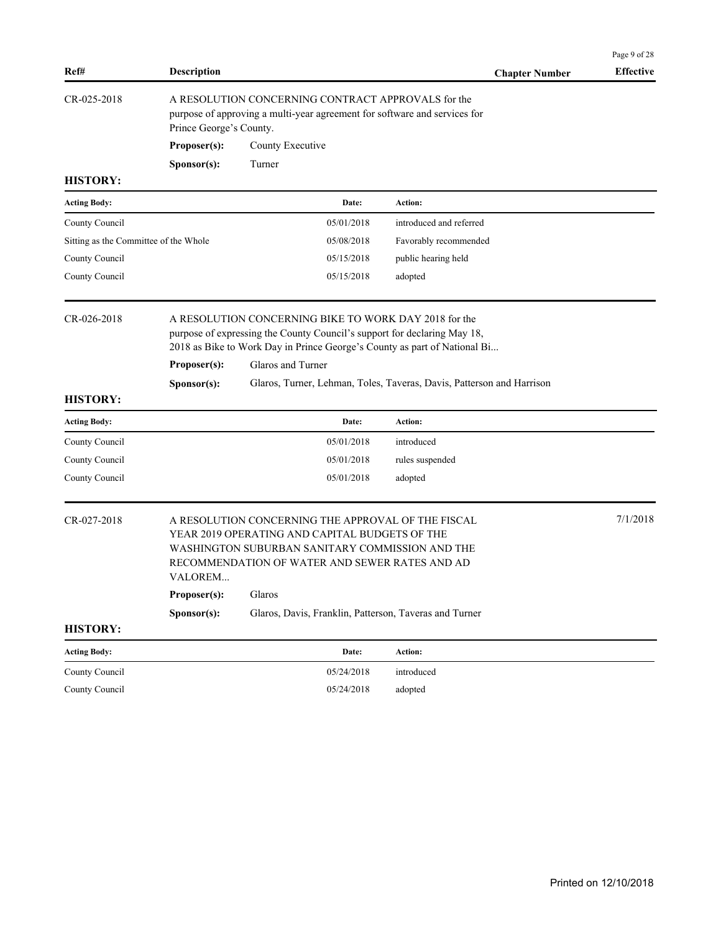|                                       |                             |                                                                                                                                                                                                                                     |                                                                       | Page 9 of 28     |
|---------------------------------------|-----------------------------|-------------------------------------------------------------------------------------------------------------------------------------------------------------------------------------------------------------------------------------|-----------------------------------------------------------------------|------------------|
| Ref#                                  | <b>Description</b>          |                                                                                                                                                                                                                                     | <b>Chapter Number</b>                                                 | <b>Effective</b> |
| CR-025-2018                           | Prince George's County.     | A RESOLUTION CONCERNING CONTRACT APPROVALS for the<br>purpose of approving a multi-year agreement for software and services for                                                                                                     |                                                                       |                  |
|                                       | Proposer(s):                | County Executive                                                                                                                                                                                                                    |                                                                       |                  |
|                                       | Sponsor(s):                 | Turner                                                                                                                                                                                                                              |                                                                       |                  |
| <b>HISTORY:</b>                       |                             |                                                                                                                                                                                                                                     |                                                                       |                  |
| <b>Acting Body:</b>                   |                             | Date:                                                                                                                                                                                                                               | Action:                                                               |                  |
| County Council                        |                             | 05/01/2018                                                                                                                                                                                                                          | introduced and referred                                               |                  |
| Sitting as the Committee of the Whole |                             | 05/08/2018                                                                                                                                                                                                                          | Favorably recommended                                                 |                  |
| County Council                        |                             | 05/15/2018                                                                                                                                                                                                                          | public hearing held                                                   |                  |
| County Council                        |                             | 05/15/2018                                                                                                                                                                                                                          | adopted                                                               |                  |
| CR-026-2018                           | Proposer(s):<br>Sponsor(s): | A RESOLUTION CONCERNING BIKE TO WORK DAY 2018 for the<br>purpose of expressing the County Council's support for declaring May 18,<br>2018 as Bike to Work Day in Prince George's County as part of National Bi<br>Glaros and Turner | Glaros, Turner, Lehman, Toles, Taveras, Davis, Patterson and Harrison |                  |
| <b>HISTORY:</b>                       |                             |                                                                                                                                                                                                                                     |                                                                       |                  |
| <b>Acting Body:</b>                   |                             | Date:                                                                                                                                                                                                                               | <b>Action:</b>                                                        |                  |
| County Council                        |                             | 05/01/2018                                                                                                                                                                                                                          | introduced                                                            |                  |
| County Council                        |                             | 05/01/2018                                                                                                                                                                                                                          | rules suspended                                                       |                  |
| County Council                        |                             | 05/01/2018                                                                                                                                                                                                                          | adopted                                                               |                  |
| CR-027-2018                           | VALOREM<br>Proposer(s):     | A RESOLUTION CONCERNING THE APPROVAL OF THE FISCAL<br>YEAR 2019 OPERATING AND CAPITAL BUDGETS OF THE<br>WASHINGTON SUBURBAN SANITARY COMMISSION AND THE<br>RECOMMENDATION OF WATER AND SEWER RATES AND AD<br>Glaros                 |                                                                       | 7/1/2018         |
|                                       | Sponsor(s):                 | Glaros, Davis, Franklin, Patterson, Taveras and Turner                                                                                                                                                                              |                                                                       |                  |
| <b>HISTORY:</b>                       |                             |                                                                                                                                                                                                                                     |                                                                       |                  |
| <b>Acting Body:</b>                   |                             | Date:                                                                                                                                                                                                                               | Action:                                                               |                  |
| County Council                        |                             | 05/24/2018                                                                                                                                                                                                                          | introduced                                                            |                  |
| County Council                        |                             | 05/24/2018                                                                                                                                                                                                                          | adopted                                                               |                  |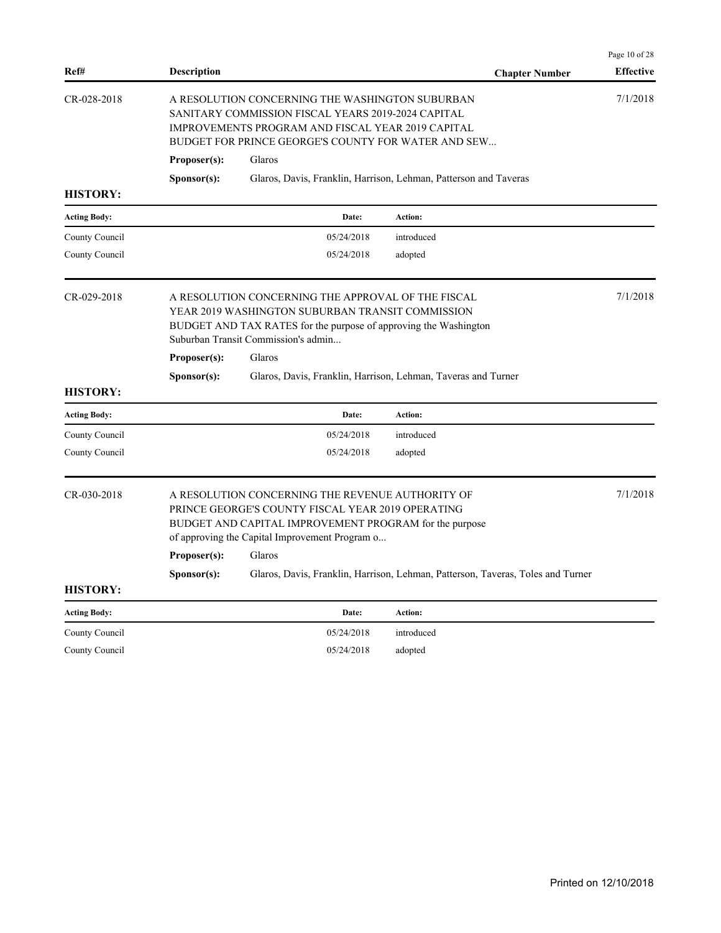|                     |                                      |                                                                                                                                                                                                                             |                                                                                 | Page 10 of 28    |
|---------------------|--------------------------------------|-----------------------------------------------------------------------------------------------------------------------------------------------------------------------------------------------------------------------------|---------------------------------------------------------------------------------|------------------|
| Ref#                | <b>Description</b>                   |                                                                                                                                                                                                                             | <b>Chapter Number</b>                                                           | <b>Effective</b> |
| CR-028-2018         | Proposer(s):                         | A RESOLUTION CONCERNING THE WASHINGTON SUBURBAN<br>SANITARY COMMISSION FISCAL YEARS 2019-2024 CAPITAL<br>IMPROVEMENTS PROGRAM AND FISCAL YEAR 2019 CAPITAL<br>BUDGET FOR PRINCE GEORGE'S COUNTY FOR WATER AND SEW<br>Glaros |                                                                                 | 7/1/2018         |
|                     | Sponsor(s):                          |                                                                                                                                                                                                                             | Glaros, Davis, Franklin, Harrison, Lehman, Patterson and Taveras                |                  |
| <b>HISTORY:</b>     |                                      |                                                                                                                                                                                                                             |                                                                                 |                  |
| <b>Acting Body:</b> |                                      | Date:                                                                                                                                                                                                                       | Action:                                                                         |                  |
| County Council      |                                      | 05/24/2018                                                                                                                                                                                                                  | introduced                                                                      |                  |
| County Council      |                                      | 05/24/2018                                                                                                                                                                                                                  | adopted                                                                         |                  |
| CR-029-2018         |                                      | A RESOLUTION CONCERNING THE APPROVAL OF THE FISCAL<br>YEAR 2019 WASHINGTON SUBURBAN TRANSIT COMMISSION<br>BUDGET AND TAX RATES for the purpose of approving the Washington<br>Suburban Transit Commission's admin           |                                                                                 | 7/1/2018         |
|                     | Proposer(s):                         | Glaros                                                                                                                                                                                                                      |                                                                                 |                  |
|                     | Sponsor(s):                          |                                                                                                                                                                                                                             | Glaros, Davis, Franklin, Harrison, Lehman, Taveras and Turner                   |                  |
| <b>HISTORY:</b>     |                                      |                                                                                                                                                                                                                             |                                                                                 |                  |
| <b>Acting Body:</b> |                                      | Date:                                                                                                                                                                                                                       | <b>Action:</b>                                                                  |                  |
| County Council      |                                      | 05/24/2018                                                                                                                                                                                                                  | introduced                                                                      |                  |
| County Council      |                                      | 05/24/2018                                                                                                                                                                                                                  | adopted                                                                         |                  |
| CR-030-2018         | Proposer(s):<br>S <b>p</b> onsor(s): | A RESOLUTION CONCERNING THE REVENUE AUTHORITY OF<br>PRINCE GEORGE'S COUNTY FISCAL YEAR 2019 OPERATING<br>BUDGET AND CAPITAL IMPROVEMENT PROGRAM for the purpose<br>of approving the Capital Improvement Program o<br>Glaros | Glaros, Davis, Franklin, Harrison, Lehman, Patterson, Taveras, Toles and Turner | 7/1/2018         |
| <b>HISTORY:</b>     |                                      |                                                                                                                                                                                                                             |                                                                                 |                  |
| <b>Acting Body:</b> |                                      | Date:                                                                                                                                                                                                                       | Action:                                                                         |                  |
| County Council      |                                      | 05/24/2018                                                                                                                                                                                                                  | introduced                                                                      |                  |
| County Council      |                                      | 05/24/2018                                                                                                                                                                                                                  | adopted                                                                         |                  |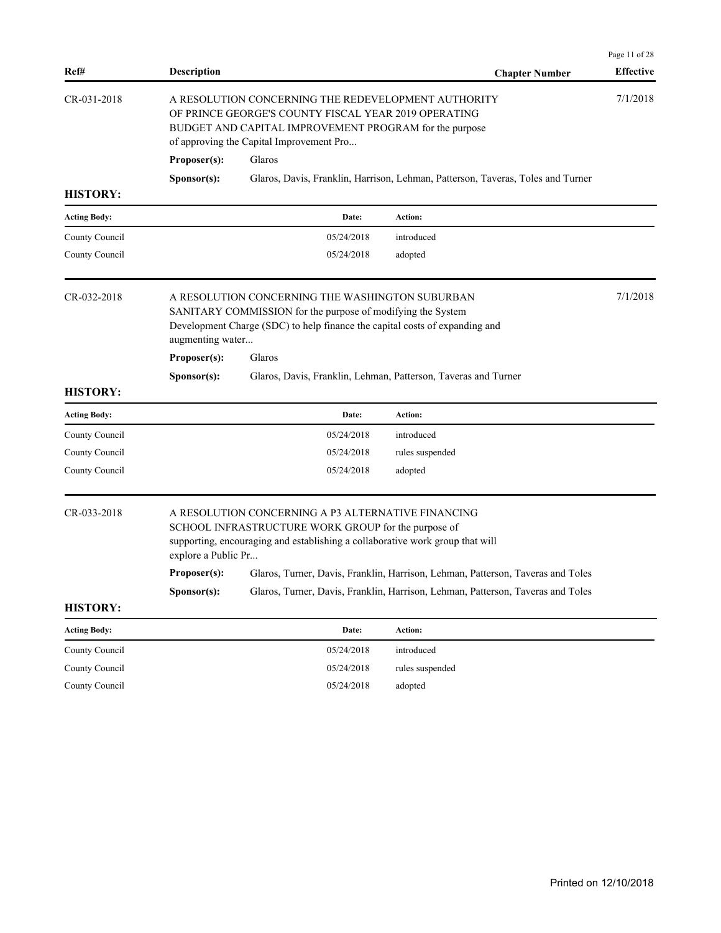| Ref#                | <b>Description</b>  |                                                                                                                                                                                                                   | <b>Chapter Number</b>                                                           | Page 11 of 28<br><b>Effective</b> |
|---------------------|---------------------|-------------------------------------------------------------------------------------------------------------------------------------------------------------------------------------------------------------------|---------------------------------------------------------------------------------|-----------------------------------|
| CR-031-2018         |                     | A RESOLUTION CONCERNING THE REDEVELOPMENT AUTHORITY<br>OF PRINCE GEORGE'S COUNTY FISCAL YEAR 2019 OPERATING<br>BUDGET AND CAPITAL IMPROVEMENT PROGRAM for the purpose<br>of approving the Capital Improvement Pro |                                                                                 | 7/1/2018                          |
|                     | Proposer(s):        | Glaros                                                                                                                                                                                                            |                                                                                 |                                   |
|                     | Sponsor(s):         |                                                                                                                                                                                                                   | Glaros, Davis, Franklin, Harrison, Lehman, Patterson, Taveras, Toles and Turner |                                   |
| <b>HISTORY:</b>     |                     |                                                                                                                                                                                                                   |                                                                                 |                                   |
| <b>Acting Body:</b> |                     | Date:                                                                                                                                                                                                             | Action:                                                                         |                                   |
| County Council      |                     | 05/24/2018                                                                                                                                                                                                        | introduced                                                                      |                                   |
| County Council      |                     | 05/24/2018                                                                                                                                                                                                        | adopted                                                                         |                                   |
| CR-032-2018         | augmenting water    | A RESOLUTION CONCERNING THE WASHINGTON SUBURBAN<br>SANITARY COMMISSION for the purpose of modifying the System<br>Development Charge (SDC) to help finance the capital costs of expanding and                     |                                                                                 | 7/1/2018                          |
|                     | Proposer(s):        | Glaros                                                                                                                                                                                                            |                                                                                 |                                   |
|                     | Sponsor(s):         |                                                                                                                                                                                                                   | Glaros, Davis, Franklin, Lehman, Patterson, Taveras and Turner                  |                                   |
| <b>HISTORY:</b>     |                     |                                                                                                                                                                                                                   |                                                                                 |                                   |
| <b>Acting Body:</b> |                     | Date:                                                                                                                                                                                                             | Action:                                                                         |                                   |
| County Council      |                     | 05/24/2018                                                                                                                                                                                                        | introduced                                                                      |                                   |
| County Council      |                     | 05/24/2018                                                                                                                                                                                                        | rules suspended                                                                 |                                   |
| County Council      |                     | 05/24/2018                                                                                                                                                                                                        | adopted                                                                         |                                   |
| CR-033-2018         | explore a Public Pr | A RESOLUTION CONCERNING A P3 ALTERNATIVE FINANCING<br>SCHOOL INFRASTRUCTURE WORK GROUP for the purpose of<br>supporting, encouraging and establishing a collaborative work group that will                        |                                                                                 |                                   |
|                     | Proposer(s):        |                                                                                                                                                                                                                   | Glaros, Turner, Davis, Franklin, Harrison, Lehman, Patterson, Taveras and Toles |                                   |
|                     | Sponsor(s):         |                                                                                                                                                                                                                   | Glaros, Turner, Davis, Franklin, Harrison, Lehman, Patterson, Taveras and Toles |                                   |
| <b>HISTORY:</b>     |                     |                                                                                                                                                                                                                   |                                                                                 |                                   |
| <b>Acting Body:</b> |                     | Date:                                                                                                                                                                                                             | Action:                                                                         |                                   |
| County Council      |                     | 05/24/2018                                                                                                                                                                                                        | introduced                                                                      |                                   |
| County Council      |                     | 05/24/2018                                                                                                                                                                                                        | rules suspended                                                                 |                                   |
| County Council      |                     | 05/24/2018                                                                                                                                                                                                        | adopted                                                                         |                                   |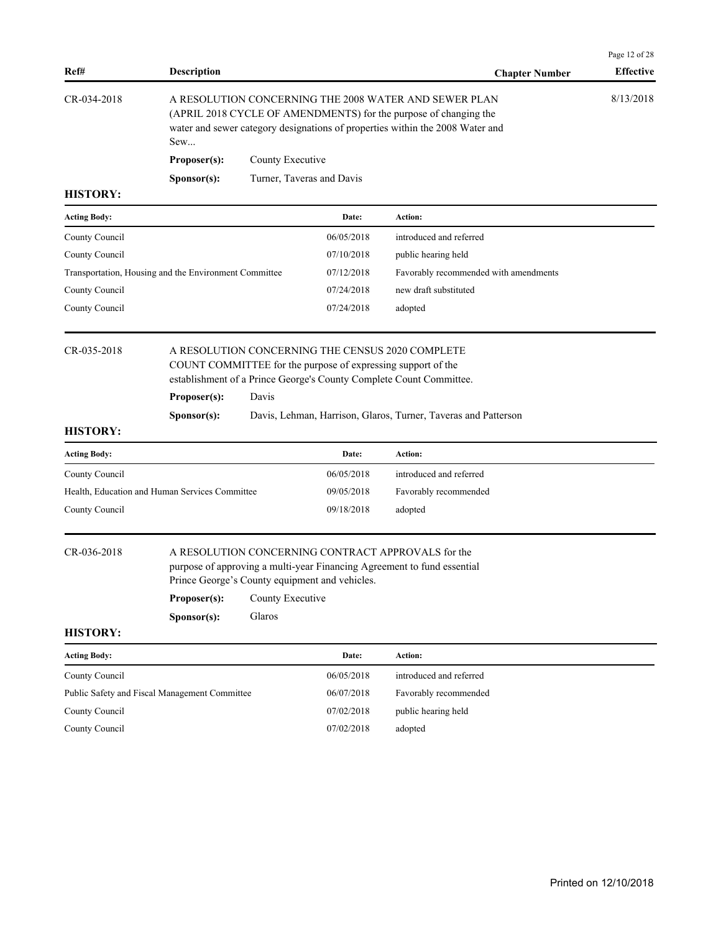| Ref#                | <b>Description</b>                                    |                  |                                                              | <b>Chapter Number</b>                                                                                                                                                                                      | Page 12 of 28<br><b>Effective</b> |
|---------------------|-------------------------------------------------------|------------------|--------------------------------------------------------------|------------------------------------------------------------------------------------------------------------------------------------------------------------------------------------------------------------|-----------------------------------|
| CR-034-2018         | Sew                                                   |                  |                                                              | A RESOLUTION CONCERNING THE 2008 WATER AND SEWER PLAN<br>(APRIL 2018 CYCLE OF AMENDMENTS) for the purpose of changing the<br>water and sewer category designations of properties within the 2008 Water and | 8/13/2018                         |
|                     | Proposer(s):                                          | County Executive |                                                              |                                                                                                                                                                                                            |                                   |
|                     | Sponsor(s):                                           |                  | Turner, Taveras and Davis                                    |                                                                                                                                                                                                            |                                   |
| <b>HISTORY:</b>     |                                                       |                  |                                                              |                                                                                                                                                                                                            |                                   |
| <b>Acting Body:</b> |                                                       |                  | Date:                                                        | <b>Action:</b>                                                                                                                                                                                             |                                   |
| County Council      |                                                       |                  | 06/05/2018                                                   | introduced and referred                                                                                                                                                                                    |                                   |
| County Council      |                                                       |                  | 07/10/2018                                                   | public hearing held                                                                                                                                                                                        |                                   |
|                     | Transportation, Housing and the Environment Committee |                  | 07/12/2018                                                   | Favorably recommended with amendments                                                                                                                                                                      |                                   |
| County Council      |                                                       |                  | 07/24/2018                                                   | new draft substituted                                                                                                                                                                                      |                                   |
| County Council      |                                                       |                  | 07/24/2018                                                   | adopted                                                                                                                                                                                                    |                                   |
| <b>HISTORY:</b>     | Proposer(s):<br>S <b>p</b> onsor(s):                  | Davis            | COUNT COMMITTEE for the purpose of expressing support of the | establishment of a Prince George's County Complete Count Committee.<br>Davis, Lehman, Harrison, Glaros, Turner, Taveras and Patterson                                                                      |                                   |
| <b>Acting Body:</b> |                                                       |                  | Date:                                                        | Action:                                                                                                                                                                                                    |                                   |
| County Council      |                                                       |                  | 06/05/2018                                                   | introduced and referred                                                                                                                                                                                    |                                   |
|                     | Health, Education and Human Services Committee        |                  | 09/05/2018                                                   | Favorably recommended                                                                                                                                                                                      |                                   |
| County Council      |                                                       |                  | 09/18/2018                                                   | adopted                                                                                                                                                                                                    |                                   |
| CR-036-2018         |                                                       |                  | Prince George's County equipment and vehicles.               | A RESOLUTION CONCERNING CONTRACT APPROVALS for the<br>purpose of approving a multi-year Financing Agreement to fund essential                                                                              |                                   |
|                     | Proposer(s):                                          | County Executive |                                                              |                                                                                                                                                                                                            |                                   |
|                     | Sponsor(s):                                           | Glaros           |                                                              |                                                                                                                                                                                                            |                                   |
| <b>HISTORY:</b>     |                                                       |                  |                                                              |                                                                                                                                                                                                            |                                   |
| <b>Acting Body:</b> |                                                       |                  | Date:                                                        | Action:                                                                                                                                                                                                    |                                   |
|                     |                                                       |                  |                                                              |                                                                                                                                                                                                            |                                   |

| County Council                                | 06/05/2018 | introduced and referred |
|-----------------------------------------------|------------|-------------------------|
| Public Safety and Fiscal Management Committee | 06/07/2018 | Favorably recommended   |
| County Council                                | 07/02/2018 | public hearing held     |
| County Council                                | 07/02/2018 | adopted                 |
|                                               |            |                         |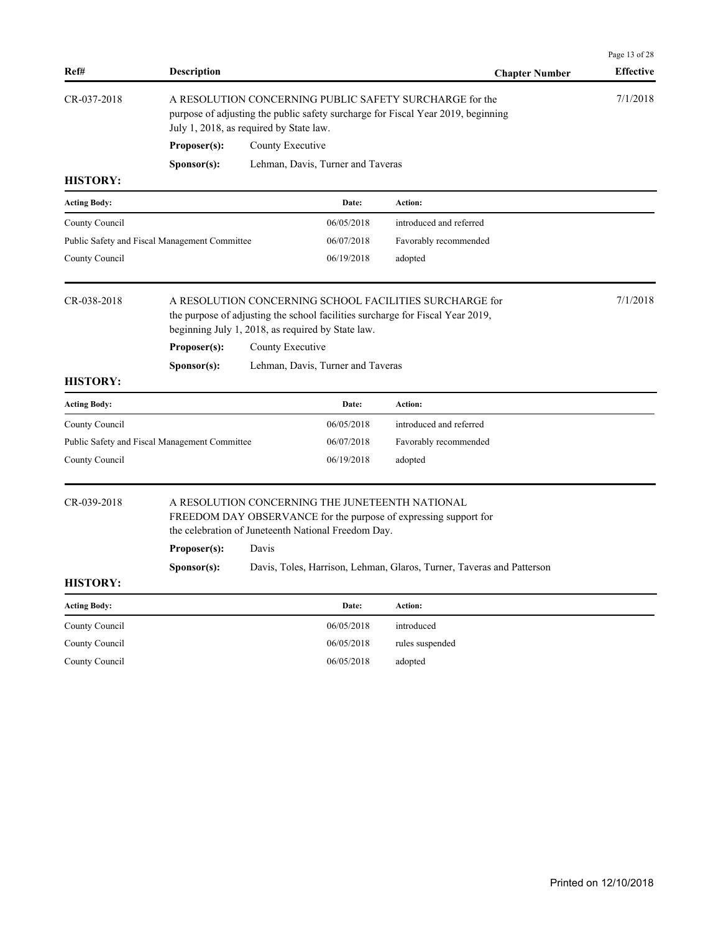| Ref#                           | <b>Description</b>                            |                                                                                                                                                                                                | <b>Chapter Number</b>                                                 | Page 13 of 28<br><b>Effective</b> |  |
|--------------------------------|-----------------------------------------------|------------------------------------------------------------------------------------------------------------------------------------------------------------------------------------------------|-----------------------------------------------------------------------|-----------------------------------|--|
| CR-037-2018                    |                                               | A RESOLUTION CONCERNING PUBLIC SAFETY SURCHARGE for the<br>purpose of adjusting the public safety surcharge for Fiscal Year 2019, beginning<br>July 1, 2018, as required by State law.         |                                                                       |                                   |  |
|                                | Proposer(s):                                  | County Executive                                                                                                                                                                               |                                                                       |                                   |  |
|                                | Sponsor(s):                                   | Lehman, Davis, Turner and Taveras                                                                                                                                                              |                                                                       |                                   |  |
| <b>HISTORY:</b>                |                                               |                                                                                                                                                                                                |                                                                       |                                   |  |
| <b>Acting Body:</b>            |                                               | Date:                                                                                                                                                                                          | Action:                                                               |                                   |  |
| County Council                 |                                               | 06/05/2018                                                                                                                                                                                     | introduced and referred                                               |                                   |  |
|                                | Public Safety and Fiscal Management Committee | 06/07/2018                                                                                                                                                                                     | Favorably recommended                                                 |                                   |  |
| County Council                 |                                               | 06/19/2018                                                                                                                                                                                     | adopted                                                               |                                   |  |
| CR-038-2018                    |                                               | A RESOLUTION CONCERNING SCHOOL FACILITIES SURCHARGE for<br>the purpose of adjusting the school facilities surcharge for Fiscal Year 2019,<br>beginning July 1, 2018, as required by State law. |                                                                       | 7/1/2018                          |  |
|                                | Proposer(s):                                  | County Executive                                                                                                                                                                               |                                                                       |                                   |  |
|                                | Sponsor(s):                                   | Lehman, Davis, Turner and Taveras                                                                                                                                                              |                                                                       |                                   |  |
| <b>HISTORY:</b>                |                                               |                                                                                                                                                                                                |                                                                       |                                   |  |
| <b>Acting Body:</b>            |                                               | Date:                                                                                                                                                                                          | Action:                                                               |                                   |  |
| County Council                 |                                               | 06/05/2018                                                                                                                                                                                     | introduced and referred                                               |                                   |  |
|                                | Public Safety and Fiscal Management Committee | 06/07/2018                                                                                                                                                                                     | Favorably recommended                                                 |                                   |  |
| County Council                 |                                               | 06/19/2018                                                                                                                                                                                     | adopted                                                               |                                   |  |
| CR-039-2018<br><b>HISTORY:</b> | Proposer(s):<br>Sponsor(s):                   | A RESOLUTION CONCERNING THE JUNETEENTH NATIONAL<br>FREEDOM DAY OBSERVANCE for the purpose of expressing support for<br>the celebration of Juneteenth National Freedom Day.<br>Davis            | Davis, Toles, Harrison, Lehman, Glaros, Turner, Taveras and Patterson |                                   |  |
| <b>Acting Body:</b>            |                                               | Date:                                                                                                                                                                                          | Action:                                                               |                                   |  |
| County Council                 |                                               | 06/05/2018                                                                                                                                                                                     | introduced                                                            |                                   |  |
| County Council                 |                                               | 06/05/2018                                                                                                                                                                                     | rules suspended                                                       |                                   |  |
| County Council                 |                                               | 06/05/2018                                                                                                                                                                                     | adopted                                                               |                                   |  |
|                                |                                               |                                                                                                                                                                                                |                                                                       |                                   |  |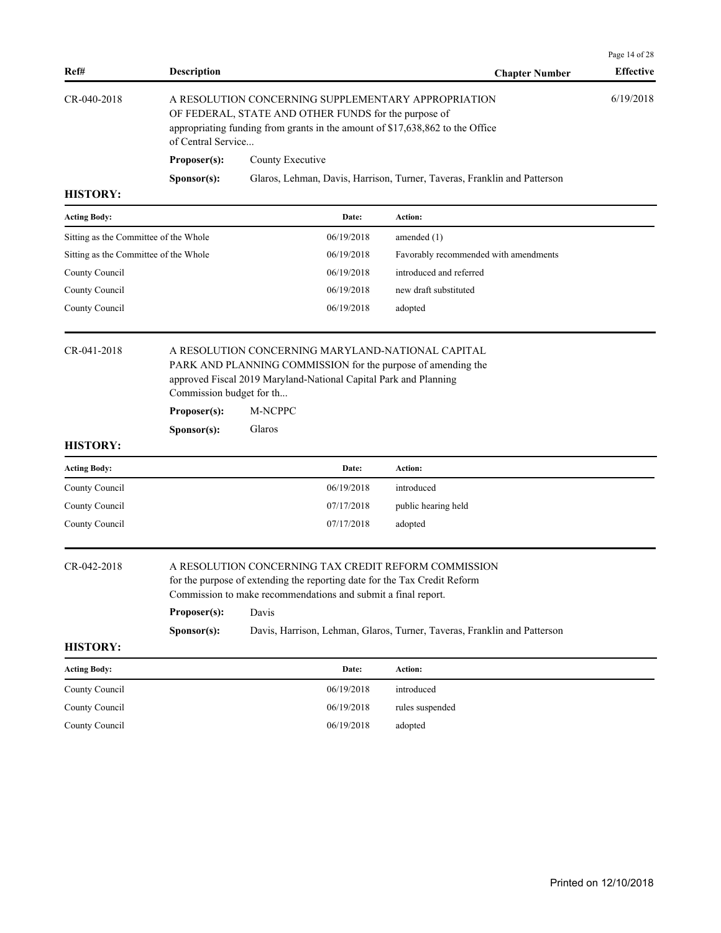| Ref#                                  | <b>Description</b>                                               |                                                                                                                                                                                                             | <b>Chapter Number</b>                                                    | Page 14 of 28<br><b>Effective</b> |
|---------------------------------------|------------------------------------------------------------------|-------------------------------------------------------------------------------------------------------------------------------------------------------------------------------------------------------------|--------------------------------------------------------------------------|-----------------------------------|
| CR-040-2018                           | of Central Service                                               | A RESOLUTION CONCERNING SUPPLEMENTARY APPROPRIATION<br>OF FEDERAL, STATE AND OTHER FUNDS for the purpose of<br>appropriating funding from grants in the amount of \$17,638,862 to the Office                |                                                                          | 6/19/2018                         |
|                                       | Proposer(s):                                                     | County Executive                                                                                                                                                                                            |                                                                          |                                   |
| <b>HISTORY:</b>                       | Sponsor(s):                                                      |                                                                                                                                                                                                             | Glaros, Lehman, Davis, Harrison, Turner, Taveras, Franklin and Patterson |                                   |
| <b>Acting Body:</b>                   |                                                                  | Date:                                                                                                                                                                                                       | <b>Action:</b>                                                           |                                   |
| Sitting as the Committee of the Whole |                                                                  | 06/19/2018                                                                                                                                                                                                  | amended $(1)$                                                            |                                   |
| Sitting as the Committee of the Whole |                                                                  | 06/19/2018                                                                                                                                                                                                  | Favorably recommended with amendments                                    |                                   |
| County Council                        |                                                                  | 06/19/2018                                                                                                                                                                                                  | introduced and referred                                                  |                                   |
| County Council                        |                                                                  | 06/19/2018                                                                                                                                                                                                  | new draft substituted                                                    |                                   |
| County Council                        |                                                                  | 06/19/2018                                                                                                                                                                                                  | adopted                                                                  |                                   |
| <b>HISTORY:</b>                       | Commission budget for th<br>Proposer(s):<br>S <b>p</b> onsor(s): | approved Fiscal 2019 Maryland-National Capital Park and Planning<br>M-NCPPC<br>Glaros                                                                                                                       |                                                                          |                                   |
| <b>Acting Body:</b>                   |                                                                  | Date:                                                                                                                                                                                                       | <b>Action:</b>                                                           |                                   |
| County Council                        |                                                                  |                                                                                                                                                                                                             |                                                                          |                                   |
| County Council                        |                                                                  | 06/19/2018                                                                                                                                                                                                  | introduced                                                               |                                   |
|                                       |                                                                  | 07/17/2018                                                                                                                                                                                                  | public hearing held                                                      |                                   |
| County Council                        |                                                                  | 07/17/2018                                                                                                                                                                                                  | adopted                                                                  |                                   |
| CR-042-2018                           | Proposer(s):                                                     | A RESOLUTION CONCERNING TAX CREDIT REFORM COMMISSION<br>for the purpose of extending the reporting date for the Tax Credit Reform<br>Commission to make recommendations and submit a final report.<br>Davis |                                                                          |                                   |
|                                       | Sponsor(s):                                                      |                                                                                                                                                                                                             | Davis, Harrison, Lehman, Glaros, Turner, Taveras, Franklin and Patterson |                                   |
| <b>HISTORY:</b>                       |                                                                  |                                                                                                                                                                                                             |                                                                          |                                   |
| <b>Acting Body:</b>                   |                                                                  | Date:                                                                                                                                                                                                       | Action:                                                                  |                                   |
| County Council                        |                                                                  | 06/19/2018                                                                                                                                                                                                  | introduced                                                               |                                   |
| County Council                        |                                                                  | 06/19/2018                                                                                                                                                                                                  | rules suspended                                                          |                                   |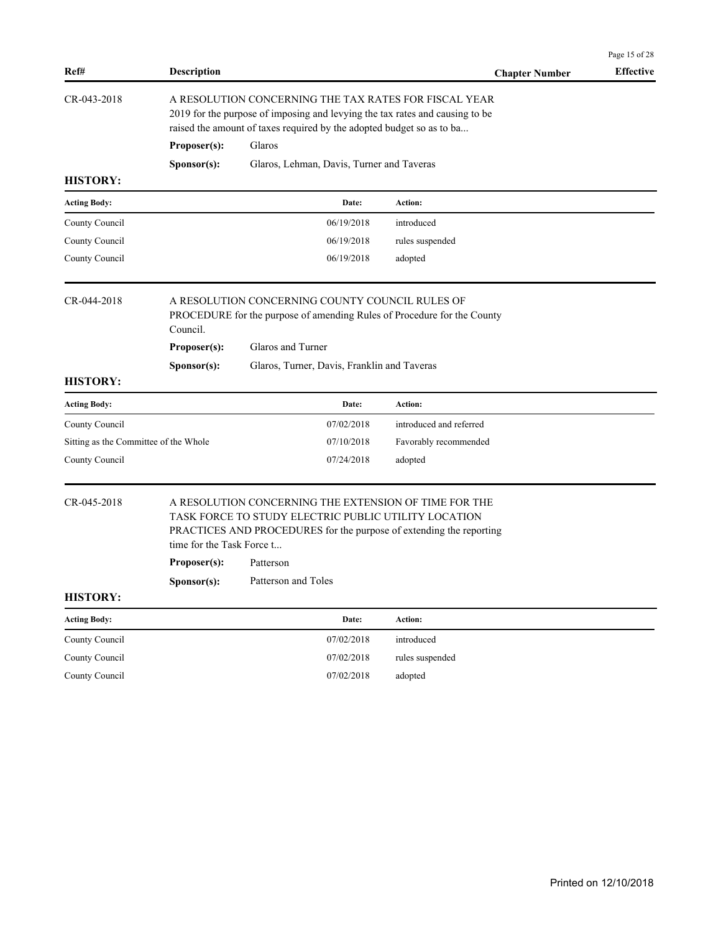| Ref#                                  | <b>Description</b>        |                                                                                                                                                                                                                | <b>Chapter Number</b>   | Page 15 of 28<br><b>Effective</b> |
|---------------------------------------|---------------------------|----------------------------------------------------------------------------------------------------------------------------------------------------------------------------------------------------------------|-------------------------|-----------------------------------|
| CR-043-2018                           |                           | A RESOLUTION CONCERNING THE TAX RATES FOR FISCAL YEAR<br>2019 for the purpose of imposing and levying the tax rates and causing to be<br>raised the amount of taxes required by the adopted budget so as to ba |                         |                                   |
|                                       | Proposer(s):              | Glaros                                                                                                                                                                                                         |                         |                                   |
|                                       | Sponsor(s):               | Glaros, Lehman, Davis, Turner and Taveras                                                                                                                                                                      |                         |                                   |
| <b>HISTORY:</b>                       |                           |                                                                                                                                                                                                                |                         |                                   |
| <b>Acting Body:</b>                   |                           | Date:                                                                                                                                                                                                          | <b>Action:</b>          |                                   |
| County Council                        |                           | 06/19/2018                                                                                                                                                                                                     | introduced              |                                   |
| County Council                        |                           | 06/19/2018                                                                                                                                                                                                     | rules suspended         |                                   |
| County Council                        |                           | 06/19/2018                                                                                                                                                                                                     | adopted                 |                                   |
| CR-044-2018                           | Council.                  | A RESOLUTION CONCERNING COUNTY COUNCIL RULES OF<br>PROCEDURE for the purpose of amending Rules of Procedure for the County                                                                                     |                         |                                   |
|                                       | Proposer(s):              | Glaros and Turner                                                                                                                                                                                              |                         |                                   |
|                                       | Sponsor(s):               | Glaros, Turner, Davis, Franklin and Taveras                                                                                                                                                                    |                         |                                   |
| <b>HISTORY:</b>                       |                           |                                                                                                                                                                                                                |                         |                                   |
| <b>Acting Body:</b>                   |                           | Date:                                                                                                                                                                                                          | <b>Action:</b>          |                                   |
| County Council                        |                           | 07/02/2018                                                                                                                                                                                                     | introduced and referred |                                   |
| Sitting as the Committee of the Whole |                           | 07/10/2018                                                                                                                                                                                                     | Favorably recommended   |                                   |
| County Council                        |                           | 07/24/2018                                                                                                                                                                                                     | adopted                 |                                   |
| CR-045-2018                           | time for the Task Force t | A RESOLUTION CONCERNING THE EXTENSION OF TIME FOR THE<br>TASK FORCE TO STUDY ELECTRIC PUBLIC UTILITY LOCATION<br>PRACTICES AND PROCEDURES for the purpose of extending the reporting                           |                         |                                   |
|                                       | Proposer(s):              | Patterson                                                                                                                                                                                                      |                         |                                   |
|                                       | Sponsor(s):               | Patterson and Toles                                                                                                                                                                                            |                         |                                   |
| <b>HISTORY:</b>                       |                           |                                                                                                                                                                                                                |                         |                                   |
| <b>Acting Body:</b>                   |                           | Date:                                                                                                                                                                                                          | Action:                 |                                   |
| County Council                        |                           | 07/02/2018                                                                                                                                                                                                     | introduced              |                                   |
| County Council                        |                           | 07/02/2018                                                                                                                                                                                                     | rules suspended         |                                   |
| County Council                        |                           | 07/02/2018                                                                                                                                                                                                     | adopted                 |                                   |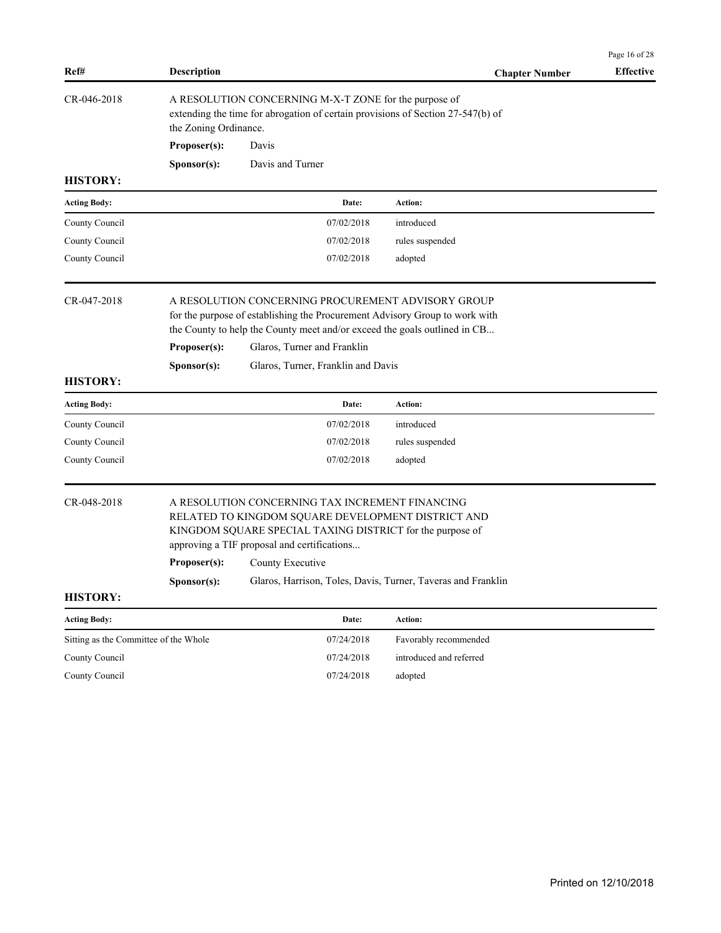| Ref#                                  | <b>Description</b>          |                                                                                                                                                                                                                                                                                                       | <b>Chapter Number</b>   | Page 16 of 28<br><b>Effective</b> |
|---------------------------------------|-----------------------------|-------------------------------------------------------------------------------------------------------------------------------------------------------------------------------------------------------------------------------------------------------------------------------------------------------|-------------------------|-----------------------------------|
| CR-046-2018                           | the Zoning Ordinance.       | A RESOLUTION CONCERNING M-X-T ZONE for the purpose of<br>extending the time for abrogation of certain provisions of Section 27-547(b) of                                                                                                                                                              |                         |                                   |
|                                       | Proposer(s):                | Davis                                                                                                                                                                                                                                                                                                 |                         |                                   |
|                                       | Sponsor(s):                 | Davis and Turner                                                                                                                                                                                                                                                                                      |                         |                                   |
| <b>HISTORY:</b>                       |                             |                                                                                                                                                                                                                                                                                                       |                         |                                   |
| Acting Body:                          |                             | Date:                                                                                                                                                                                                                                                                                                 | Action:                 |                                   |
| County Council                        |                             | 07/02/2018                                                                                                                                                                                                                                                                                            | introduced              |                                   |
| County Council                        |                             | 07/02/2018                                                                                                                                                                                                                                                                                            | rules suspended         |                                   |
| County Council                        |                             | 07/02/2018                                                                                                                                                                                                                                                                                            | adopted                 |                                   |
| CR-047-2018                           | Proposer(s):                | A RESOLUTION CONCERNING PROCUREMENT ADVISORY GROUP<br>for the purpose of establishing the Procurement Advisory Group to work with<br>the County to help the County meet and/or exceed the goals outlined in CB<br>Glaros, Turner and Franklin                                                         |                         |                                   |
|                                       | Sponsor(s):                 | Glaros, Turner, Franklin and Davis                                                                                                                                                                                                                                                                    |                         |                                   |
| <b>HISTORY:</b>                       |                             |                                                                                                                                                                                                                                                                                                       |                         |                                   |
| Acting Body:                          |                             | Date:                                                                                                                                                                                                                                                                                                 | Action:                 |                                   |
| County Council                        |                             | 07/02/2018                                                                                                                                                                                                                                                                                            | introduced              |                                   |
| County Council                        |                             | 07/02/2018                                                                                                                                                                                                                                                                                            | rules suspended         |                                   |
| County Council                        |                             | 07/02/2018                                                                                                                                                                                                                                                                                            | adopted                 |                                   |
| CR-048-2018                           | Proposer(s):<br>Sponsor(s): | A RESOLUTION CONCERNING TAX INCREMENT FINANCING<br>RELATED TO KINGDOM SQUARE DEVELOPMENT DISTRICT AND<br>KINGDOM SQUARE SPECIAL TAXING DISTRICT for the purpose of<br>approving a TIF proposal and certifications<br>County Executive<br>Glaros, Harrison, Toles, Davis, Turner, Taveras and Franklin |                         |                                   |
| <b>HISTORY:</b>                       |                             |                                                                                                                                                                                                                                                                                                       |                         |                                   |
| <b>Acting Body:</b>                   |                             | Date:                                                                                                                                                                                                                                                                                                 | Action:                 |                                   |
| Sitting as the Committee of the Whole |                             | 07/24/2018                                                                                                                                                                                                                                                                                            | Favorably recommended   |                                   |
| County Council                        |                             | 07/24/2018                                                                                                                                                                                                                                                                                            | introduced and referred |                                   |
| County Council                        |                             | 07/24/2018                                                                                                                                                                                                                                                                                            | adopted                 |                                   |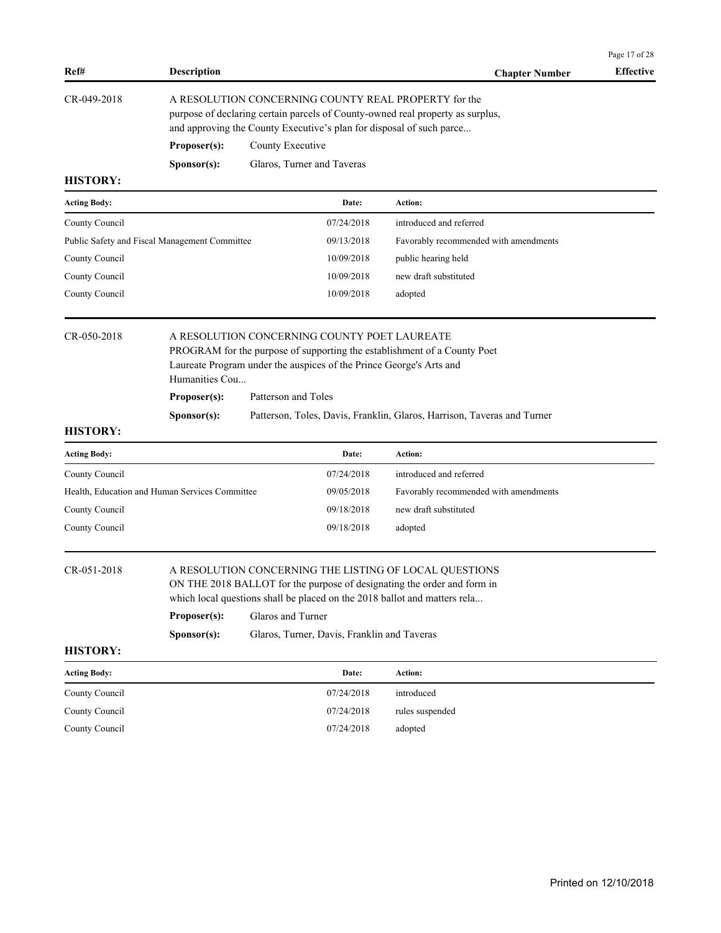| Ref#                | <b>Description</b>                                                                                                                                                                                             |                            | <b>Chapter Number</b>   | <b>Effective</b> |  |  |
|---------------------|----------------------------------------------------------------------------------------------------------------------------------------------------------------------------------------------------------------|----------------------------|-------------------------|------------------|--|--|
| CR-049-2018         | A RESOLUTION CONCERNING COUNTY REAL PROPERTY for the<br>purpose of declaring certain parcels of County-owned real property as surplus,<br>and approving the County Executive's plan for disposal of such parce |                            |                         |                  |  |  |
|                     | Proposer(s):                                                                                                                                                                                                   | County Executive           |                         |                  |  |  |
|                     | S <b>p</b> onsor(s):                                                                                                                                                                                           | Glaros, Turner and Taveras |                         |                  |  |  |
| <b>HISTORY:</b>     |                                                                                                                                                                                                                |                            |                         |                  |  |  |
| <b>Acting Body:</b> |                                                                                                                                                                                                                | Date:                      | Action:                 |                  |  |  |
| $Countu$ Council    |                                                                                                                                                                                                                | 07/24/2018                 | introduced and referred |                  |  |  |

| County Council                                | 07/24/2018 | introduced and referred               |
|-----------------------------------------------|------------|---------------------------------------|
| Public Safety and Fiscal Management Committee | 09/13/2018 | Favorably recommended with amendments |
| County Council                                | 10/09/2018 | public hearing held                   |
| County Council                                | 10/09/2018 | new draft substituted                 |
| County Council                                | 10/09/2018 | adopted                               |

| CR-050-2018 | A RESOLUTION CONCERNING COUNTY POET LAUREATE                             |
|-------------|--------------------------------------------------------------------------|
|             | PROGRAM for the purpose of supporting the establishment of a County Poet |
|             | Laureate Program under the auspices of the Prince George's Arts and      |

Humanities Cou...

**Proposer(s):** Patterson and Toles

**Sponsor(s):** Patterson, Toles, Davis, Franklin, Glaros, Harrison, Taveras and Turner

## **HISTORY:**

| <b>Acting Body:</b>                            | Date:      | Action:                               |
|------------------------------------------------|------------|---------------------------------------|
| County Council                                 | 07/24/2018 | introduced and referred               |
| Health, Education and Human Services Committee | 09/05/2018 | Favorably recommended with amendments |
| County Council                                 | 09/18/2018 | new draft substituted                 |
| County Council                                 | 09/18/2018 | adopted                               |

## CR-051-2018 A RESOLUTION CONCERNING THE LISTING OF LOCAL QUESTIONS

ON THE 2018 BALLOT for the purpose of designating the order and form in which local questions shall be placed on the 2018 ballot and matters rela...

|                     | Proposer(s):<br>S <b>p</b> onsor(s): | Glaros and Turner<br>Glaros, Turner, Davis, Franklin and Taveras |                 |  |
|---------------------|--------------------------------------|------------------------------------------------------------------|-----------------|--|
| <b>HISTORY:</b>     |                                      |                                                                  |                 |  |
| <b>Acting Body:</b> |                                      | Date:                                                            | <b>Action:</b>  |  |
| County Council      |                                      | 07/24/2018                                                       | introduced      |  |
| County Council      |                                      | 07/24/2018                                                       | rules suspended |  |
| County Council      |                                      | 07/24/2018                                                       | adopted         |  |

Page 17 of 28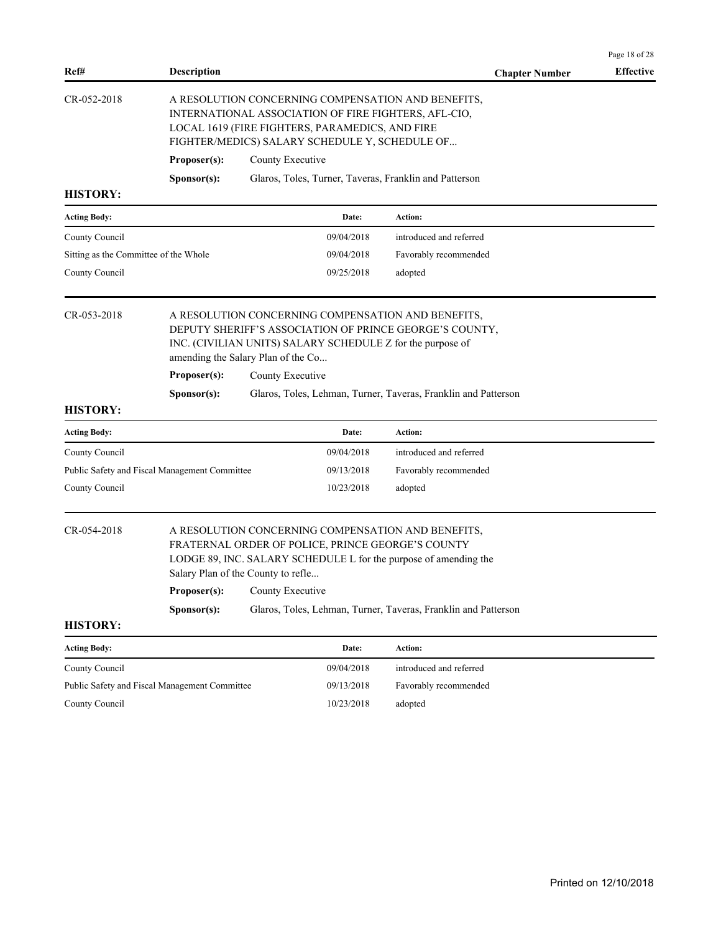| <b>Description</b><br>Ref#<br>CR-052-2018<br>A RESOLUTION CONCERNING COMPENSATION AND BENEFITS,<br>INTERNATIONAL ASSOCIATION OF FIRE FIGHTERS, AFL-CIO,<br>LOCAL 1619 (FIRE FIGHTERS, PARAMEDICS, AND FIRE<br>FIGHTER/MEDICS) SALARY SCHEDULE Y, SCHEDULE OF<br>Proposer(s):<br>County Executive<br>Glaros, Toles, Turner, Taveras, Franklin and Patterson<br>Sponsor(s):<br><b>HISTORY:</b><br>Action:<br><b>Acting Body:</b><br>Date:<br>County Council<br>09/04/2018<br>introduced and referred<br>Sitting as the Committee of the Whole<br>09/04/2018<br>Favorably recommended<br>County Council<br>09/25/2018<br>adopted<br>CR-053-2018<br>A RESOLUTION CONCERNING COMPENSATION AND BENEFITS,<br>DEPUTY SHERIFF'S ASSOCIATION OF PRINCE GEORGE'S COUNTY,<br>INC. (CIVILIAN UNITS) SALARY SCHEDULE Z for the purpose of<br>amending the Salary Plan of the Co<br>Proposer(s):<br>County Executive<br>Glaros, Toles, Lehman, Turner, Taveras, Franklin and Patterson<br>Sponsor(s):<br><b>HISTORY:</b><br>Action:<br><b>Acting Body:</b><br>Date:<br>introduced and referred<br>County Council<br>09/04/2018<br>Public Safety and Fiscal Management Committee<br>09/13/2018<br>Favorably recommended<br>County Council<br>10/23/2018<br>adopted<br>CR-054-2018<br>A RESOLUTION CONCERNING COMPENSATION AND BENEFITS,<br>FRATERNAL ORDER OF POLICE, PRINCE GEORGE'S COUNTY<br>LODGE 89, INC. SALARY SCHEDULE L for the purpose of amending the<br>Salary Plan of the County to refle<br>Proposer(s):<br>County Executive<br>Glaros, Toles, Lehman, Turner, Taveras, Franklin and Patterson<br>Sponsor(s):<br><b>HISTORY:</b><br><b>Acting Body:</b><br>Date:<br>Action:<br>County Council<br>09/04/2018<br>introduced and referred |                       | Page 18 of 28    |
|--------------------------------------------------------------------------------------------------------------------------------------------------------------------------------------------------------------------------------------------------------------------------------------------------------------------------------------------------------------------------------------------------------------------------------------------------------------------------------------------------------------------------------------------------------------------------------------------------------------------------------------------------------------------------------------------------------------------------------------------------------------------------------------------------------------------------------------------------------------------------------------------------------------------------------------------------------------------------------------------------------------------------------------------------------------------------------------------------------------------------------------------------------------------------------------------------------------------------------------------------------------------------------------------------------------------------------------------------------------------------------------------------------------------------------------------------------------------------------------------------------------------------------------------------------------------------------------------------------------------------------------------------------------------------------------------------------------------------------------|-----------------------|------------------|
|                                                                                                                                                                                                                                                                                                                                                                                                                                                                                                                                                                                                                                                                                                                                                                                                                                                                                                                                                                                                                                                                                                                                                                                                                                                                                                                                                                                                                                                                                                                                                                                                                                                                                                                                      | <b>Chapter Number</b> | <b>Effective</b> |
|                                                                                                                                                                                                                                                                                                                                                                                                                                                                                                                                                                                                                                                                                                                                                                                                                                                                                                                                                                                                                                                                                                                                                                                                                                                                                                                                                                                                                                                                                                                                                                                                                                                                                                                                      |                       |                  |
|                                                                                                                                                                                                                                                                                                                                                                                                                                                                                                                                                                                                                                                                                                                                                                                                                                                                                                                                                                                                                                                                                                                                                                                                                                                                                                                                                                                                                                                                                                                                                                                                                                                                                                                                      |                       |                  |
|                                                                                                                                                                                                                                                                                                                                                                                                                                                                                                                                                                                                                                                                                                                                                                                                                                                                                                                                                                                                                                                                                                                                                                                                                                                                                                                                                                                                                                                                                                                                                                                                                                                                                                                                      |                       |                  |
|                                                                                                                                                                                                                                                                                                                                                                                                                                                                                                                                                                                                                                                                                                                                                                                                                                                                                                                                                                                                                                                                                                                                                                                                                                                                                                                                                                                                                                                                                                                                                                                                                                                                                                                                      |                       |                  |
|                                                                                                                                                                                                                                                                                                                                                                                                                                                                                                                                                                                                                                                                                                                                                                                                                                                                                                                                                                                                                                                                                                                                                                                                                                                                                                                                                                                                                                                                                                                                                                                                                                                                                                                                      |                       |                  |
|                                                                                                                                                                                                                                                                                                                                                                                                                                                                                                                                                                                                                                                                                                                                                                                                                                                                                                                                                                                                                                                                                                                                                                                                                                                                                                                                                                                                                                                                                                                                                                                                                                                                                                                                      |                       |                  |
|                                                                                                                                                                                                                                                                                                                                                                                                                                                                                                                                                                                                                                                                                                                                                                                                                                                                                                                                                                                                                                                                                                                                                                                                                                                                                                                                                                                                                                                                                                                                                                                                                                                                                                                                      |                       |                  |
|                                                                                                                                                                                                                                                                                                                                                                                                                                                                                                                                                                                                                                                                                                                                                                                                                                                                                                                                                                                                                                                                                                                                                                                                                                                                                                                                                                                                                                                                                                                                                                                                                                                                                                                                      |                       |                  |
|                                                                                                                                                                                                                                                                                                                                                                                                                                                                                                                                                                                                                                                                                                                                                                                                                                                                                                                                                                                                                                                                                                                                                                                                                                                                                                                                                                                                                                                                                                                                                                                                                                                                                                                                      |                       |                  |
|                                                                                                                                                                                                                                                                                                                                                                                                                                                                                                                                                                                                                                                                                                                                                                                                                                                                                                                                                                                                                                                                                                                                                                                                                                                                                                                                                                                                                                                                                                                                                                                                                                                                                                                                      |                       |                  |
|                                                                                                                                                                                                                                                                                                                                                                                                                                                                                                                                                                                                                                                                                                                                                                                                                                                                                                                                                                                                                                                                                                                                                                                                                                                                                                                                                                                                                                                                                                                                                                                                                                                                                                                                      |                       |                  |
|                                                                                                                                                                                                                                                                                                                                                                                                                                                                                                                                                                                                                                                                                                                                                                                                                                                                                                                                                                                                                                                                                                                                                                                                                                                                                                                                                                                                                                                                                                                                                                                                                                                                                                                                      |                       |                  |
|                                                                                                                                                                                                                                                                                                                                                                                                                                                                                                                                                                                                                                                                                                                                                                                                                                                                                                                                                                                                                                                                                                                                                                                                                                                                                                                                                                                                                                                                                                                                                                                                                                                                                                                                      |                       |                  |
|                                                                                                                                                                                                                                                                                                                                                                                                                                                                                                                                                                                                                                                                                                                                                                                                                                                                                                                                                                                                                                                                                                                                                                                                                                                                                                                                                                                                                                                                                                                                                                                                                                                                                                                                      |                       |                  |
|                                                                                                                                                                                                                                                                                                                                                                                                                                                                                                                                                                                                                                                                                                                                                                                                                                                                                                                                                                                                                                                                                                                                                                                                                                                                                                                                                                                                                                                                                                                                                                                                                                                                                                                                      |                       |                  |
|                                                                                                                                                                                                                                                                                                                                                                                                                                                                                                                                                                                                                                                                                                                                                                                                                                                                                                                                                                                                                                                                                                                                                                                                                                                                                                                                                                                                                                                                                                                                                                                                                                                                                                                                      |                       |                  |
|                                                                                                                                                                                                                                                                                                                                                                                                                                                                                                                                                                                                                                                                                                                                                                                                                                                                                                                                                                                                                                                                                                                                                                                                                                                                                                                                                                                                                                                                                                                                                                                                                                                                                                                                      |                       |                  |
|                                                                                                                                                                                                                                                                                                                                                                                                                                                                                                                                                                                                                                                                                                                                                                                                                                                                                                                                                                                                                                                                                                                                                                                                                                                                                                                                                                                                                                                                                                                                                                                                                                                                                                                                      |                       |                  |
|                                                                                                                                                                                                                                                                                                                                                                                                                                                                                                                                                                                                                                                                                                                                                                                                                                                                                                                                                                                                                                                                                                                                                                                                                                                                                                                                                                                                                                                                                                                                                                                                                                                                                                                                      |                       |                  |
|                                                                                                                                                                                                                                                                                                                                                                                                                                                                                                                                                                                                                                                                                                                                                                                                                                                                                                                                                                                                                                                                                                                                                                                                                                                                                                                                                                                                                                                                                                                                                                                                                                                                                                                                      |                       |                  |
| Public Safety and Fiscal Management Committee<br>09/13/2018<br>Favorably recommended                                                                                                                                                                                                                                                                                                                                                                                                                                                                                                                                                                                                                                                                                                                                                                                                                                                                                                                                                                                                                                                                                                                                                                                                                                                                                                                                                                                                                                                                                                                                                                                                                                                 |                       |                  |
| County Council<br>10/23/2018<br>adopted                                                                                                                                                                                                                                                                                                                                                                                                                                                                                                                                                                                                                                                                                                                                                                                                                                                                                                                                                                                                                                                                                                                                                                                                                                                                                                                                                                                                                                                                                                                                                                                                                                                                                              |                       |                  |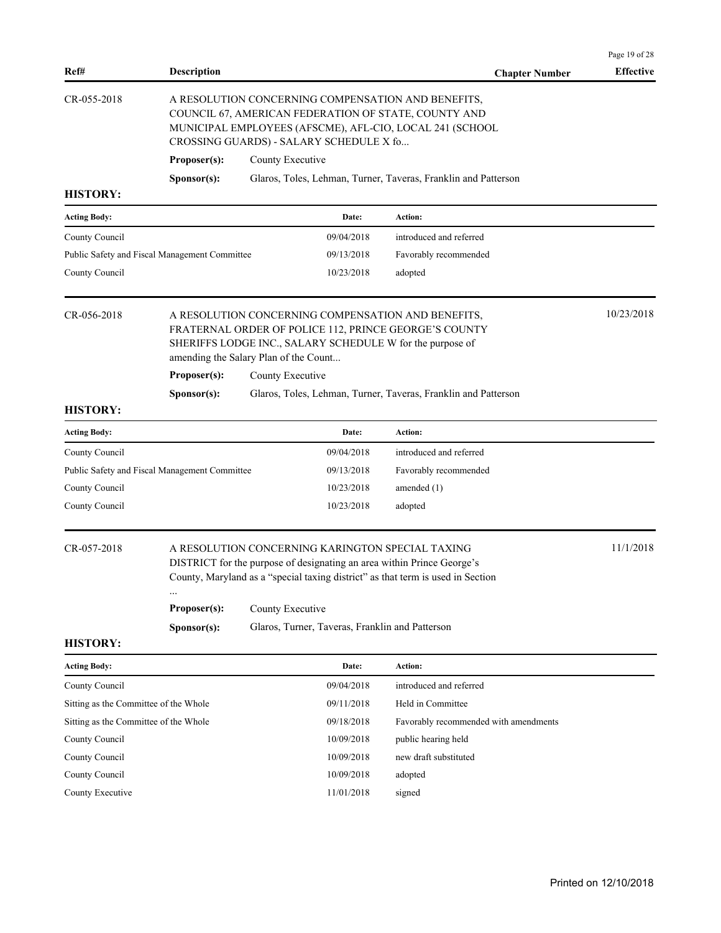|                                               |                                       |                  |                                                 |                                                                                                                                                                                                               | Page 19 of 28    |
|-----------------------------------------------|---------------------------------------|------------------|-------------------------------------------------|---------------------------------------------------------------------------------------------------------------------------------------------------------------------------------------------------------------|------------------|
| Ref#                                          | <b>Description</b>                    |                  |                                                 | <b>Chapter Number</b>                                                                                                                                                                                         | <b>Effective</b> |
| CR-055-2018                                   |                                       |                  | CROSSING GUARDS) - SALARY SCHEDULE X fo         | A RESOLUTION CONCERNING COMPENSATION AND BENEFITS,<br>COUNCIL 67, AMERICAN FEDERATION OF STATE, COUNTY AND<br>MUNICIPAL EMPLOYEES (AFSCME), AFL-CIO, LOCAL 241 (SCHOOL                                        |                  |
|                                               | Proposer(s):                          | County Executive |                                                 |                                                                                                                                                                                                               |                  |
|                                               | Sponsor(s):                           |                  |                                                 | Glaros, Toles, Lehman, Turner, Taveras, Franklin and Patterson                                                                                                                                                |                  |
| <b>HISTORY:</b>                               |                                       |                  |                                                 |                                                                                                                                                                                                               |                  |
| <b>Acting Body:</b>                           |                                       |                  | Date:                                           | <b>Action:</b>                                                                                                                                                                                                |                  |
| County Council                                |                                       |                  | 09/04/2018                                      | introduced and referred                                                                                                                                                                                       |                  |
| Public Safety and Fiscal Management Committee |                                       |                  | 09/13/2018                                      | Favorably recommended                                                                                                                                                                                         |                  |
| County Council                                |                                       |                  | 10/23/2018                                      | adopted                                                                                                                                                                                                       |                  |
| CR-056-2018                                   | amending the Salary Plan of the Count |                  |                                                 | A RESOLUTION CONCERNING COMPENSATION AND BENEFITS,<br>FRATERNAL ORDER OF POLICE 112, PRINCE GEORGE'S COUNTY<br>SHERIFFS LODGE INC., SALARY SCHEDULE W for the purpose of                                      | 10/23/2018       |
|                                               | Proposer(s):                          | County Executive |                                                 |                                                                                                                                                                                                               |                  |
|                                               | Sponsor(s):                           |                  |                                                 | Glaros, Toles, Lehman, Turner, Taveras, Franklin and Patterson                                                                                                                                                |                  |
| <b>HISTORY:</b>                               |                                       |                  |                                                 |                                                                                                                                                                                                               |                  |
| <b>Acting Body:</b>                           |                                       |                  | Date:                                           | Action:                                                                                                                                                                                                       |                  |
| County Council                                |                                       |                  | 09/04/2018                                      | introduced and referred                                                                                                                                                                                       |                  |
| Public Safety and Fiscal Management Committee |                                       |                  | 09/13/2018                                      | Favorably recommended                                                                                                                                                                                         |                  |
| County Council                                |                                       |                  | 10/23/2018                                      | amended $(1)$                                                                                                                                                                                                 |                  |
| County Council                                |                                       |                  | 10/23/2018                                      | adopted                                                                                                                                                                                                       |                  |
| CR-057-2018                                   |                                       |                  |                                                 | A RESOLUTION CONCERNING KARINGTON SPECIAL TAXING<br>DISTRICT for the purpose of designating an area within Prince George's<br>County, Maryland as a "special taxing district" as that term is used in Section | 11/1/2018        |
|                                               | Proposer(s):                          | County Executive |                                                 |                                                                                                                                                                                                               |                  |
|                                               | Sponsor(s):                           |                  | Glaros, Turner, Taveras, Franklin and Patterson |                                                                                                                                                                                                               |                  |
| <b>HISTORY:</b>                               |                                       |                  |                                                 |                                                                                                                                                                                                               |                  |
| <b>Acting Body:</b>                           |                                       |                  | Date:                                           | Action:                                                                                                                                                                                                       |                  |
| County Council                                |                                       |                  | 09/04/2018                                      | introduced and referred                                                                                                                                                                                       |                  |
| Sitting as the Committee of the Whole         |                                       |                  | 09/11/2018                                      | Held in Committee                                                                                                                                                                                             |                  |
| Sitting as the Committee of the Whole         |                                       |                  | 09/18/2018                                      | Favorably recommended with amendments                                                                                                                                                                         |                  |
| County Council                                |                                       |                  | 10/09/2018                                      | public hearing held                                                                                                                                                                                           |                  |
| County Council                                |                                       |                  | 10/09/2018                                      | new draft substituted                                                                                                                                                                                         |                  |
| County Council                                |                                       |                  | 10/09/2018                                      | adopted                                                                                                                                                                                                       |                  |
| County Executive                              |                                       |                  | 11/01/2018                                      | signed                                                                                                                                                                                                        |                  |
|                                               |                                       |                  |                                                 |                                                                                                                                                                                                               |                  |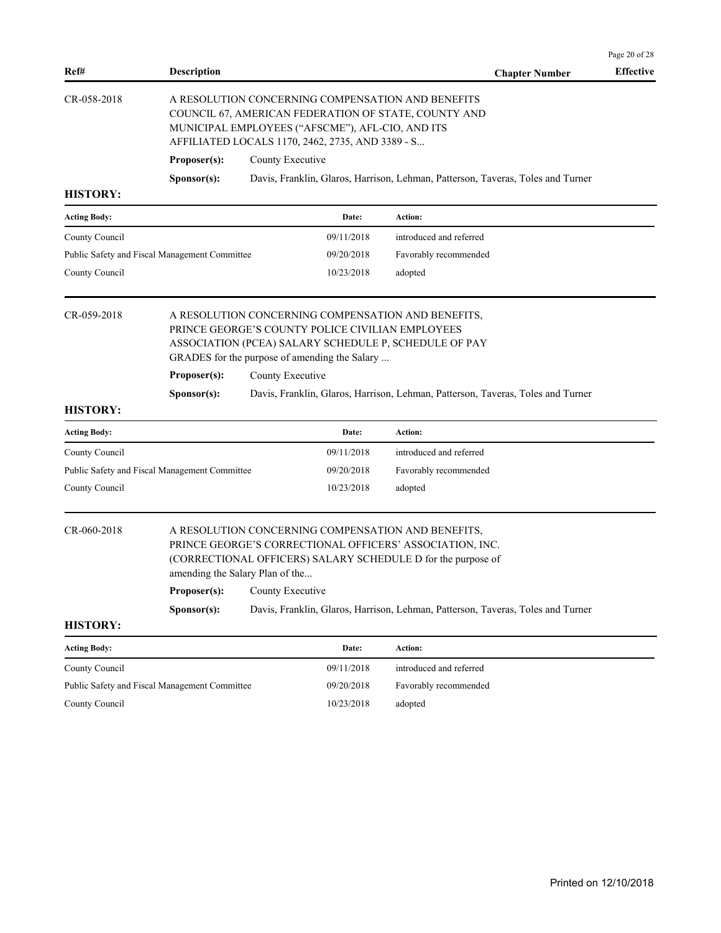| Ref#                | <b>Description</b>                                                      |                  |                                                                                                      | <b>Chapter Number</b>                                                                                                                                                          | <b>Effective</b> |
|---------------------|-------------------------------------------------------------------------|------------------|------------------------------------------------------------------------------------------------------|--------------------------------------------------------------------------------------------------------------------------------------------------------------------------------|------------------|
| CR-058-2018         |                                                                         |                  | MUNICIPAL EMPLOYEES ("AFSCME"), AFL-CIO, AND ITS<br>AFFILIATED LOCALS 1170, 2462, 2735, AND 3389 - S | A RESOLUTION CONCERNING COMPENSATION AND BENEFITS<br>COUNCIL 67, AMERICAN FEDERATION OF STATE, COUNTY AND                                                                      |                  |
|                     | Proposer(s):                                                            | County Executive |                                                                                                      |                                                                                                                                                                                |                  |
|                     | Sponsor(s):                                                             |                  |                                                                                                      | Davis, Franklin, Glaros, Harrison, Lehman, Patterson, Taveras, Toles and Turner                                                                                                |                  |
| <b>HISTORY:</b>     |                                                                         |                  |                                                                                                      |                                                                                                                                                                                |                  |
| <b>Acting Body:</b> |                                                                         |                  | Date:                                                                                                | Action:                                                                                                                                                                        |                  |
| County Council      |                                                                         |                  | 09/11/2018                                                                                           | introduced and referred                                                                                                                                                        |                  |
|                     | Public Safety and Fiscal Management Committee                           |                  | 09/20/2018                                                                                           | Favorably recommended                                                                                                                                                          |                  |
| County Council      |                                                                         |                  | 10/23/2018                                                                                           | adopted                                                                                                                                                                        |                  |
| CR-059-2018         | Proposer(s):                                                            | County Executive | PRINCE GEORGE'S COUNTY POLICE CIVILIAN EMPLOYEES<br>GRADES for the purpose of amending the Salary    | A RESOLUTION CONCERNING COMPENSATION AND BENEFITS,<br>ASSOCIATION (PCEA) SALARY SCHEDULE P, SCHEDULE OF PAY                                                                    |                  |
|                     | Sponsor(s):                                                             |                  |                                                                                                      | Davis, Franklin, Glaros, Harrison, Lehman, Patterson, Taveras, Toles and Turner                                                                                                |                  |
| <b>HISTORY:</b>     |                                                                         |                  |                                                                                                      |                                                                                                                                                                                |                  |
| <b>Acting Body:</b> |                                                                         |                  | Date:                                                                                                | Action:                                                                                                                                                                        |                  |
| County Council      |                                                                         |                  | 09/11/2018                                                                                           | introduced and referred                                                                                                                                                        |                  |
|                     | Public Safety and Fiscal Management Committee                           |                  | 09/20/2018                                                                                           | Favorably recommended                                                                                                                                                          |                  |
| County Council      |                                                                         |                  | 10/23/2018                                                                                           | adopted                                                                                                                                                                        |                  |
| CR-060-2018         | amending the Salary Plan of the<br><b>Proposer(s):</b> County Executive |                  |                                                                                                      | A RESOLUTION CONCERNING COMPENSATION AND BENEFITS,<br>PRINCE GEORGE'S CORRECTIONAL OFFICERS' ASSOCIATION, INC.<br>(CORRECTIONAL OFFICERS) SALARY SCHEDULE D for the purpose of |                  |
|                     | Sponsor(s):                                                             |                  |                                                                                                      | Davis, Franklin, Glaros, Harrison, Lehman, Patterson, Taveras, Toles and Turner                                                                                                |                  |
| <b>HISTORY:</b>     |                                                                         |                  |                                                                                                      |                                                                                                                                                                                |                  |
| <b>Acting Body:</b> |                                                                         |                  | Date:                                                                                                | Action:                                                                                                                                                                        |                  |
| County Council      |                                                                         |                  | 09/11/2018                                                                                           | introduced and referred                                                                                                                                                        |                  |
|                     | Public Safety and Fiscal Management Committee                           |                  | 09/20/2018                                                                                           | Favorably recommended                                                                                                                                                          |                  |
| County Council      |                                                                         |                  | 10/23/2018                                                                                           | adopted                                                                                                                                                                        |                  |
|                     |                                                                         |                  |                                                                                                      |                                                                                                                                                                                |                  |
|                     |                                                                         |                  |                                                                                                      |                                                                                                                                                                                |                  |
|                     |                                                                         |                  |                                                                                                      |                                                                                                                                                                                |                  |

Page 20 of 28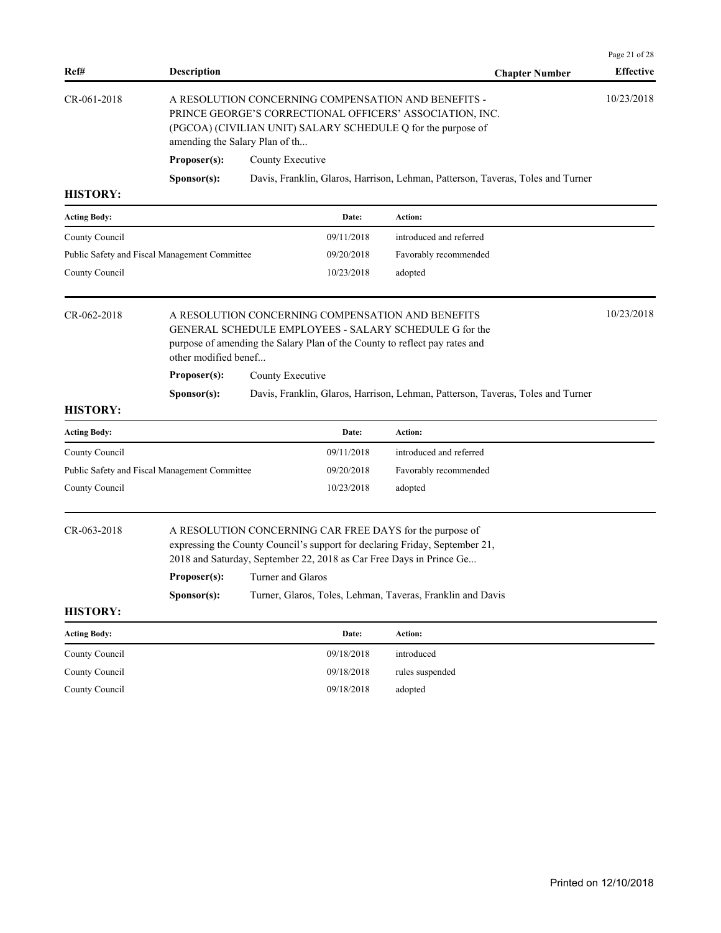| Ref#                             | <b>Description</b>                                                                                                                                                                                                                                                                                                                   | <b>Chapter Number</b>                                                           | Page 21 of 28<br><b>Effective</b> |
|----------------------------------|--------------------------------------------------------------------------------------------------------------------------------------------------------------------------------------------------------------------------------------------------------------------------------------------------------------------------------------|---------------------------------------------------------------------------------|-----------------------------------|
| CR-061-2018                      | A RESOLUTION CONCERNING COMPENSATION AND BENEFITS -<br>PRINCE GEORGE'S CORRECTIONAL OFFICERS' ASSOCIATION, INC.<br>(PGCOA) (CIVILIAN UNIT) SALARY SCHEDULE Q for the purpose of<br>amending the Salary Plan of th                                                                                                                    |                                                                                 | 10/23/2018                        |
|                                  | Proposer(s):<br>County Executive                                                                                                                                                                                                                                                                                                     |                                                                                 |                                   |
|                                  | Sponsor(s):                                                                                                                                                                                                                                                                                                                          | Davis, Franklin, Glaros, Harrison, Lehman, Patterson, Taveras, Toles and Turner |                                   |
| <b>HISTORY:</b>                  |                                                                                                                                                                                                                                                                                                                                      |                                                                                 |                                   |
| <b>Acting Body:</b>              | Date:                                                                                                                                                                                                                                                                                                                                | Action:                                                                         |                                   |
| County Council                   | 09/11/2018                                                                                                                                                                                                                                                                                                                           | introduced and referred                                                         |                                   |
|                                  | Public Safety and Fiscal Management Committee<br>09/20/2018                                                                                                                                                                                                                                                                          | Favorably recommended                                                           |                                   |
| County Council                   | 10/23/2018                                                                                                                                                                                                                                                                                                                           | adopted                                                                         |                                   |
| CR-062-2018                      | A RESOLUTION CONCERNING COMPENSATION AND BENEFITS<br>GENERAL SCHEDULE EMPLOYEES - SALARY SCHEDULE G for the<br>purpose of amending the Salary Plan of the County to reflect pay rates and<br>other modified benef                                                                                                                    |                                                                                 | 10/23/2018                        |
|                                  |                                                                                                                                                                                                                                                                                                                                      |                                                                                 |                                   |
|                                  | Proposer(s):<br>County Executive                                                                                                                                                                                                                                                                                                     |                                                                                 |                                   |
|                                  | Sponsor(s):                                                                                                                                                                                                                                                                                                                          | Davis, Franklin, Glaros, Harrison, Lehman, Patterson, Taveras, Toles and Turner |                                   |
| <b>HISTORY:</b>                  |                                                                                                                                                                                                                                                                                                                                      |                                                                                 |                                   |
| <b>Acting Body:</b>              | Date:                                                                                                                                                                                                                                                                                                                                | Action:                                                                         |                                   |
| County Council                   | 09/11/2018                                                                                                                                                                                                                                                                                                                           | introduced and referred                                                         |                                   |
|                                  | Public Safety and Fiscal Management Committee<br>09/20/2018                                                                                                                                                                                                                                                                          | Favorably recommended                                                           |                                   |
| County Council                   | 10/23/2018                                                                                                                                                                                                                                                                                                                           | adopted                                                                         |                                   |
| CR-063-2018<br><b>HISTORY:</b>   | A RESOLUTION CONCERNING CAR FREE DAYS for the purpose of<br>expressing the County Council's support for declaring Friday, September 21,<br>2018 and Saturday, September 22, 2018 as Car Free Days in Prince Ge<br><b>Proposer(s):</b> Turner and Glaros<br>Turner, Glaros, Toles, Lehman, Taveras, Franklin and Davis<br>Sponsor(s): |                                                                                 |                                   |
| <b>Acting Body:</b>              | Date:                                                                                                                                                                                                                                                                                                                                | Action:                                                                         |                                   |
|                                  | 09/18/2018                                                                                                                                                                                                                                                                                                                           | introduced                                                                      |                                   |
| County Council<br>County Council | 09/18/2018                                                                                                                                                                                                                                                                                                                           | rules suspended                                                                 |                                   |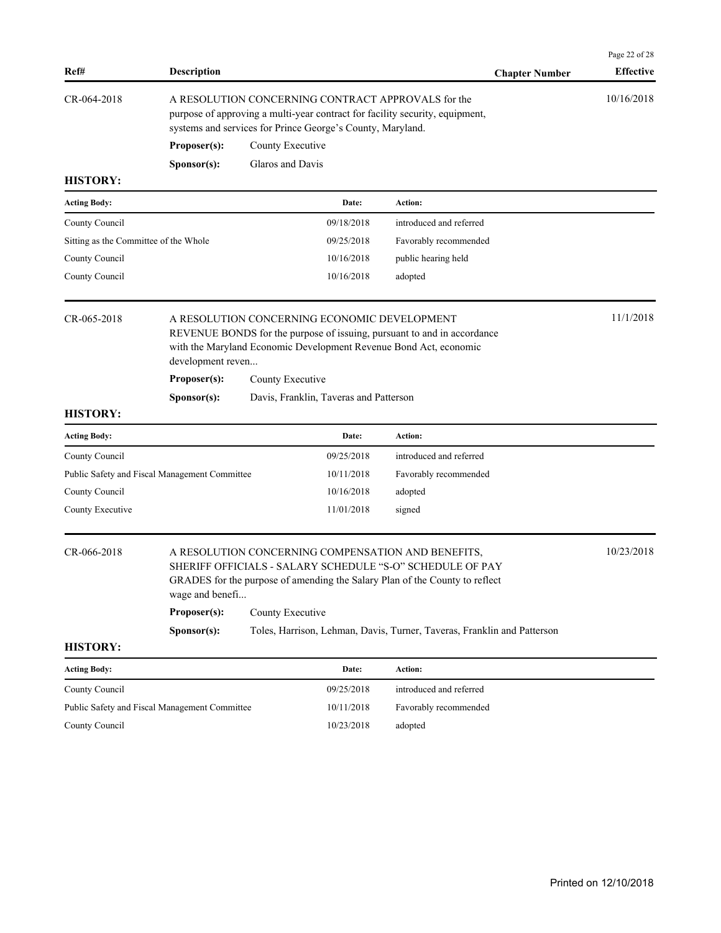| Ref#                                          | <b>Description</b>                |                                                                  |            | <b>Chapter Number</b>                                                                                                                                                                          | Page 22 of 28<br><b>Effective</b> |
|-----------------------------------------------|-----------------------------------|------------------------------------------------------------------|------------|------------------------------------------------------------------------------------------------------------------------------------------------------------------------------------------------|-----------------------------------|
| CR-064-2018                                   |                                   | systems and services for Prince George's County, Maryland.       |            | A RESOLUTION CONCERNING CONTRACT APPROVALS for the<br>purpose of approving a multi-year contract for facility security, equipment,                                                             | 10/16/2018                        |
|                                               | Proposer(s):                      | County Executive                                                 |            |                                                                                                                                                                                                |                                   |
|                                               | Sponsor(s):                       | Glaros and Davis                                                 |            |                                                                                                                                                                                                |                                   |
| <b>HISTORY:</b>                               |                                   |                                                                  |            |                                                                                                                                                                                                |                                   |
| <b>Acting Body:</b>                           |                                   |                                                                  | Date:      | <b>Action:</b>                                                                                                                                                                                 |                                   |
| County Council                                |                                   |                                                                  | 09/18/2018 | introduced and referred                                                                                                                                                                        |                                   |
| Sitting as the Committee of the Whole         |                                   |                                                                  | 09/25/2018 | Favorably recommended                                                                                                                                                                          |                                   |
| County Council                                |                                   |                                                                  | 10/16/2018 | public hearing held                                                                                                                                                                            |                                   |
| County Council                                |                                   |                                                                  | 10/16/2018 | adopted                                                                                                                                                                                        |                                   |
| CR-065-2018                                   | development reven<br>Proposer(s): | A RESOLUTION CONCERNING ECONOMIC DEVELOPMENT<br>County Executive |            | REVENUE BONDS for the purpose of issuing, pursuant to and in accordance<br>with the Maryland Economic Development Revenue Bond Act, economic                                                   | 11/1/2018                         |
|                                               | Sponsor(s):                       | Davis, Franklin, Taveras and Patterson                           |            |                                                                                                                                                                                                |                                   |
| <b>HISTORY:</b>                               |                                   |                                                                  |            |                                                                                                                                                                                                |                                   |
| <b>Acting Body:</b>                           |                                   |                                                                  | Date:      | <b>Action:</b>                                                                                                                                                                                 |                                   |
| County Council                                |                                   |                                                                  | 09/25/2018 | introduced and referred                                                                                                                                                                        |                                   |
| Public Safety and Fiscal Management Committee |                                   |                                                                  | 10/11/2018 | Favorably recommended                                                                                                                                                                          |                                   |
| County Council                                |                                   |                                                                  | 10/16/2018 | adopted                                                                                                                                                                                        |                                   |
| County Executive                              |                                   |                                                                  | 11/01/2018 | signed                                                                                                                                                                                         |                                   |
| CR-066-2018                                   | wage and benefi                   |                                                                  |            | A RESOLUTION CONCERNING COMPENSATION AND BENEFITS,<br>SHERIFF OFFICIALS - SALARY SCHEDULE "S-O" SCHEDULE OF PAY<br>GRADES for the purpose of amending the Salary Plan of the County to reflect | 10/23/2018                        |
|                                               | Proposer(s):                      | County Executive                                                 |            |                                                                                                                                                                                                |                                   |
|                                               | Sponsor(s):                       |                                                                  |            | Toles, Harrison, Lehman, Davis, Turner, Taveras, Franklin and Patterson                                                                                                                        |                                   |
| <b>HISTORY:</b>                               |                                   |                                                                  |            |                                                                                                                                                                                                |                                   |
| <b>Acting Body:</b>                           |                                   |                                                                  | Date:      | <b>Action:</b>                                                                                                                                                                                 |                                   |
| County Council                                |                                   |                                                                  | 09/25/2018 | introduced and referred                                                                                                                                                                        |                                   |
| Public Safety and Fiscal Management Committee |                                   |                                                                  | 10/11/2018 | Favorably recommended                                                                                                                                                                          |                                   |
| County Council                                |                                   |                                                                  | 10/23/2018 | adopted                                                                                                                                                                                        |                                   |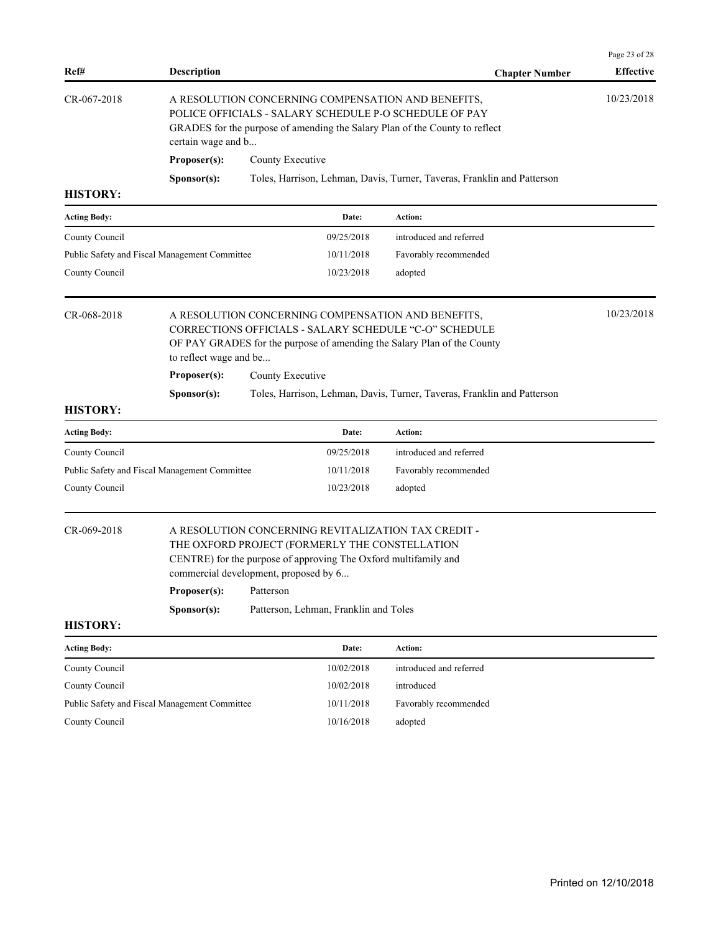| Ref#                | <b>Description</b>                            |                                                                                                                                                                                                                   | <b>Chapter Number</b>                                                   | <b>Effective</b> |
|---------------------|-----------------------------------------------|-------------------------------------------------------------------------------------------------------------------------------------------------------------------------------------------------------------------|-------------------------------------------------------------------------|------------------|
| CR-067-2018         | certain wage and b                            | A RESOLUTION CONCERNING COMPENSATION AND BENEFITS,<br>POLICE OFFICIALS - SALARY SCHEDULE P-O SCHEDULE OF PAY<br>GRADES for the purpose of amending the Salary Plan of the County to reflect                       |                                                                         | 10/23/2018       |
|                     | Proposer(s):                                  | County Executive                                                                                                                                                                                                  |                                                                         |                  |
|                     | S <b>p</b> onsor(s):                          |                                                                                                                                                                                                                   | Toles, Harrison, Lehman, Davis, Turner, Taveras, Franklin and Patterson |                  |
| <b>HISTORY:</b>     |                                               |                                                                                                                                                                                                                   |                                                                         |                  |
| <b>Acting Body:</b> |                                               | Date:                                                                                                                                                                                                             | <b>Action:</b>                                                          |                  |
| County Council      |                                               | 09/25/2018                                                                                                                                                                                                        | introduced and referred                                                 |                  |
|                     | Public Safety and Fiscal Management Committee | 10/11/2018                                                                                                                                                                                                        | Favorably recommended                                                   |                  |
| County Council      |                                               | 10/23/2018                                                                                                                                                                                                        | adopted                                                                 |                  |
| CR-068-2018         | to reflect wage and be                        | A RESOLUTION CONCERNING COMPENSATION AND BENEFITS,<br>CORRECTIONS OFFICIALS - SALARY SCHEDULE "C-O" SCHEDULE<br>OF PAY GRADES for the purpose of amending the Salary Plan of the County                           |                                                                         | 10/23/2018       |
|                     | Proposer(s):                                  | County Executive                                                                                                                                                                                                  |                                                                         |                  |
| <b>HISTORY:</b>     | S <b>p</b> onsor(s):                          |                                                                                                                                                                                                                   | Toles, Harrison, Lehman, Davis, Turner, Taveras, Franklin and Patterson |                  |
| <b>Acting Body:</b> |                                               | Date:                                                                                                                                                                                                             | Action:                                                                 |                  |
| County Council      |                                               | 09/25/2018                                                                                                                                                                                                        | introduced and referred                                                 |                  |
|                     | Public Safety and Fiscal Management Committee | 10/11/2018                                                                                                                                                                                                        | Favorably recommended                                                   |                  |
| County Council      |                                               | 10/23/2018                                                                                                                                                                                                        | adopted                                                                 |                  |
| CR-069-2018         |                                               | A RESOLUTION CONCERNING REVITALIZATION TAX CREDIT -<br>THE OXFORD PROJECT (FORMERLY THE CONSTELLATION<br>CENTRE) for the purpose of approving The Oxford multifamily and<br>commercial development, proposed by 6 |                                                                         |                  |
|                     | Proposer(s):                                  | Patterson                                                                                                                                                                                                         |                                                                         |                  |
| <b>HISTORY:</b>     | S <b>p</b> onsor(s):                          | Patterson, Lehman, Franklin and Toles                                                                                                                                                                             |                                                                         |                  |
| <b>Acting Body:</b> |                                               | Date:                                                                                                                                                                                                             | Action:                                                                 |                  |
| County Council      |                                               | 10/02/2018                                                                                                                                                                                                        | introduced and referred                                                 |                  |
| County Council      |                                               | 10/02/2018                                                                                                                                                                                                        | introduced                                                              |                  |
|                     | Public Safety and Fiscal Management Committee | 10/11/2018                                                                                                                                                                                                        | Favorably recommended                                                   |                  |
| County Council      |                                               | 10/16/2018                                                                                                                                                                                                        | adopted                                                                 |                  |
|                     |                                               |                                                                                                                                                                                                                   |                                                                         |                  |
|                     |                                               |                                                                                                                                                                                                                   |                                                                         |                  |

Page 23 of 28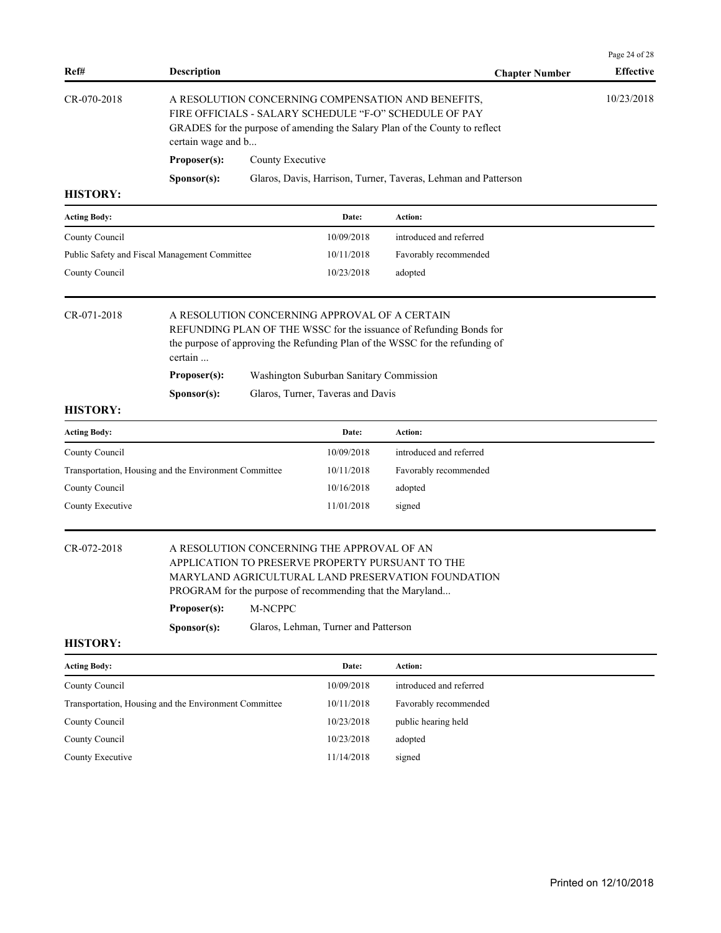| Ref#                                                                                                            | <b>Description</b>   | <b>Chapter Number</b>                                                                                                                                                                       | <b>Effective</b> |
|-----------------------------------------------------------------------------------------------------------------|----------------------|---------------------------------------------------------------------------------------------------------------------------------------------------------------------------------------------|------------------|
| CR-070-2018                                                                                                     | certain wage and b   | A RESOLUTION CONCERNING COMPENSATION AND BENEFITS,<br>FIRE OFFICIALS - SALARY SCHEDULE "F-O" SCHEDULE OF PAY<br>GRADES for the purpose of amending the Salary Plan of the County to reflect | 10/23/2018       |
|                                                                                                                 | Proposer(s):         | County Executive                                                                                                                                                                            |                  |
|                                                                                                                 | S <b>p</b> onsor(s): | Glaros, Davis, Harrison, Turner, Taveras, Lehman and Patterson                                                                                                                              |                  |
| <b>HISTORY:</b>                                                                                                 |                      |                                                                                                                                                                                             |                  |
| <b>Acting Body:</b>                                                                                             |                      | <b>Action:</b><br>Date:                                                                                                                                                                     |                  |
| the contract of the contract of the contract of the contract of the contract of the contract of the contract of |                      | .                                                                                                                                                                                           |                  |

| County Council                                | 10/09/2018 | introduced and referred |
|-----------------------------------------------|------------|-------------------------|
| Public Safety and Fiscal Management Committee | 10/11/2018 | Favorably recommended   |
| County Council                                | 10/23/2018 | adopted                 |

# CR-071-2018 A RESOLUTION CONCERNING APPROVAL OF A CERTAIN

REFUNDING PLAN OF THE WSSC for the issuance of Refunding Bonds for the purpose of approving the Refunding Plan of the WSSC for the refunding of certain ...

**Sponsor(s):** Glaros, Turner, Taveras and Davis

# **HISTORY:**

| <b>Acting Body:</b>                                   | Date:      | Action:                 |
|-------------------------------------------------------|------------|-------------------------|
| County Council                                        | 10/09/2018 | introduced and referred |
| Transportation, Housing and the Environment Committee | 10/11/2018 | Favorably recommended   |
| County Council                                        | 10/16/2018 | adopted                 |
| County Executive                                      | 11/01/2018 | signed                  |

# CR-072-2018 A RESOLUTION CONCERNING THE APPROVAL OF AN APPLICATION TO PRESERVE PROPERTY PURSUANT TO THE MARYLAND AGRICULTURAL LAND PRESERVATION FOUNDATION PROGRAM for the purpose of recommending that the Maryland...

**Proposer(s):** M-NCPPC

**Sponsor(s):** Glaros, Lehman, Turner and Patterson

### **HISTORY:**

| <b>Acting Body:</b>                                   | Date:      | <b>Action:</b>          |
|-------------------------------------------------------|------------|-------------------------|
| County Council                                        | 10/09/2018 | introduced and referred |
| Transportation, Housing and the Environment Committee | 10/11/2018 | Favorably recommended   |
| County Council                                        | 10/23/2018 | public hearing held     |
| County Council                                        | 10/23/2018 | adopted                 |
| County Executive                                      | 11/14/2018 | signed                  |

Page 24 of 28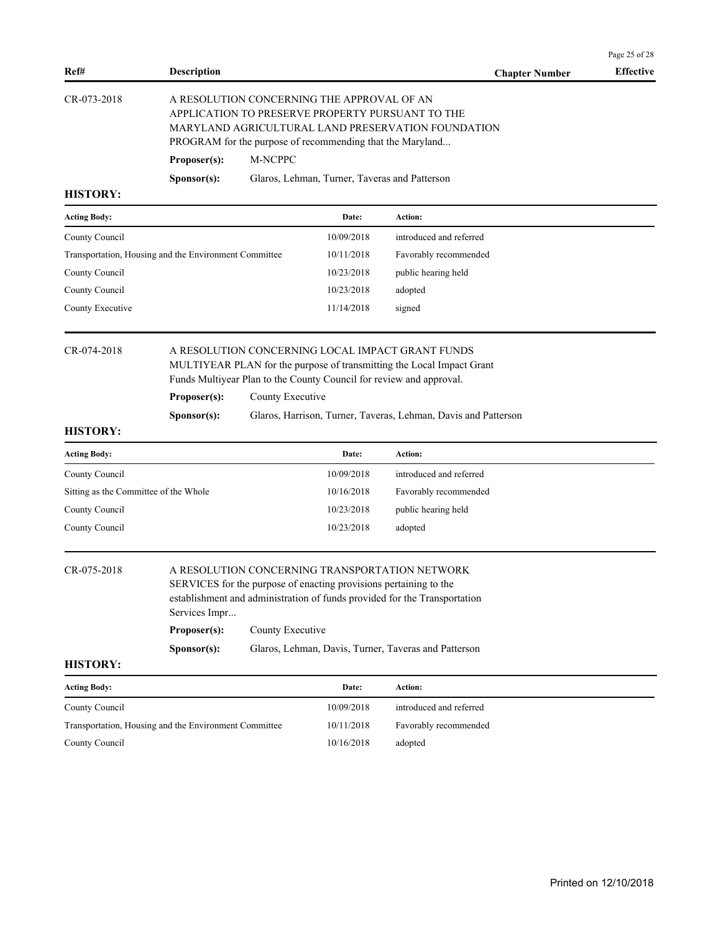| Ref#            | <b>Description</b>   |                                                                                                                                                                                                                   | <b>Chapter Number</b> | <b>Effective</b> |
|-----------------|----------------------|-------------------------------------------------------------------------------------------------------------------------------------------------------------------------------------------------------------------|-----------------------|------------------|
| CR-073-2018     |                      | A RESOLUTION CONCERNING THE APPROVAL OF AN<br>APPLICATION TO PRESERVE PROPERTY PURSUANT TO THE<br>MARYLAND AGRICULTURAL LAND PRESERVATION FOUNDATION<br>PROGRAM for the purpose of recommending that the Maryland |                       |                  |
|                 | Proposer(s):         | M-NCPPC                                                                                                                                                                                                           |                       |                  |
|                 | S <b>p</b> onsor(s): | Glaros, Lehman, Turner, Taveras and Patterson                                                                                                                                                                     |                       |                  |
| <b>HISTORY:</b> |                      |                                                                                                                                                                                                                   |                       |                  |

| <b>Acting Body:</b>                                   | Date:      | Action:                 |
|-------------------------------------------------------|------------|-------------------------|
| County Council                                        | 10/09/2018 | introduced and referred |
| Transportation, Housing and the Environment Committee | 10/11/2018 | Favorably recommended   |
| County Council                                        | 10/23/2018 | public hearing held     |
| County Council                                        | 10/23/2018 | adopted                 |
| County Executive                                      | 11/14/2018 | signed                  |

## CR-074-2018 A RESOLUTION CONCERNING LOCAL IMPACT GRANT FUNDS MULTIYEAR PLAN for the purpose of transmitting the Local Impact Grant Funds Multiyear Plan to the County Council for review and approval.

**Proposer(s):** County Executive

**Sponsor(s):** Glaros, Harrison, Turner, Taveras, Lehman, Davis and Patterson

### **HISTORY:**

| <b>Acting Body:</b>                   | Date:      | Action:                 |
|---------------------------------------|------------|-------------------------|
| County Council                        | 10/09/2018 | introduced and referred |
| Sitting as the Committee of the Whole | 10/16/2018 | Favorably recommended   |
| County Council                        | 10/23/2018 | public hearing held     |
| County Council                        | 10/23/2018 | adopted                 |

# CR-075-2018 A RESOLUTION CONCERNING TRANSPORTATION NETWORK

SERVICES for the purpose of enacting provisions pertaining to the establishment and administration of funds provided for the Transportation Services Impr... **Proposer(s):** County Executive

| S <b>p</b> onsor(s): | Glaros, Lehman, Davis, Turner, Taveras and Patterson |  |  |
|----------------------|------------------------------------------------------|--|--|

### **HISTORY:**

| <b>Acting Body:</b>                                   | Date:      | <b>Action:</b>          |
|-------------------------------------------------------|------------|-------------------------|
| County Council                                        | 10/09/2018 | introduced and referred |
| Transportation, Housing and the Environment Committee | 10/11/2018 | Favorably recommended   |
| County Council                                        | 10/16/2018 | adopted                 |

Page 25 of 28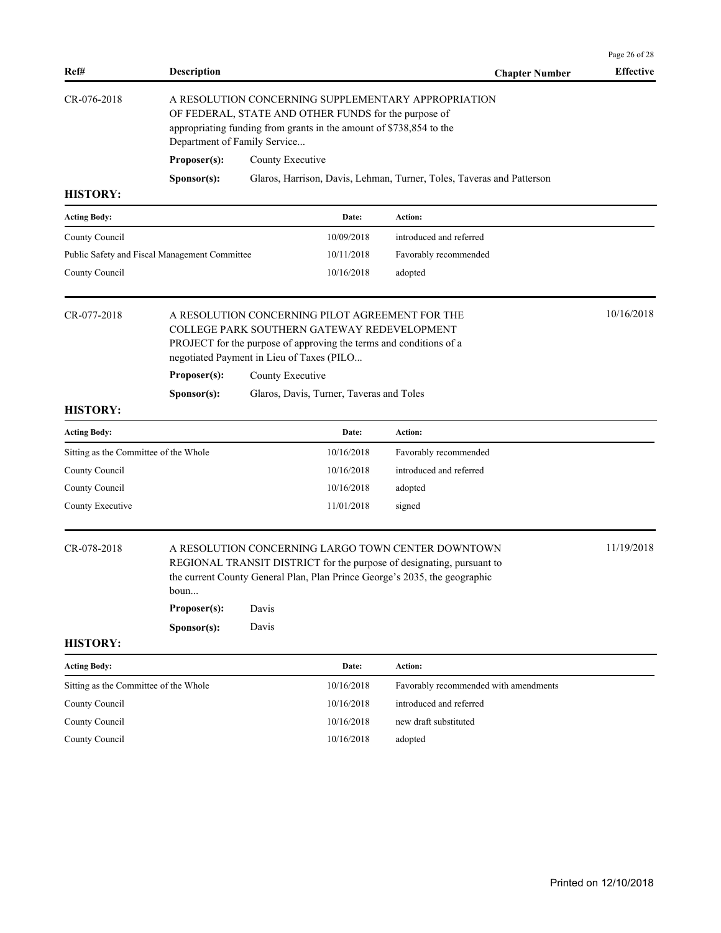| Ref#                                  | <b>Description</b>                            |                                                                                                                                                                                                                                        |                                          | <b>Chapter Number</b>                                                                                                                                                                                     | Page 26 of 28<br><b>Effective</b> |
|---------------------------------------|-----------------------------------------------|----------------------------------------------------------------------------------------------------------------------------------------------------------------------------------------------------------------------------------------|------------------------------------------|-----------------------------------------------------------------------------------------------------------------------------------------------------------------------------------------------------------|-----------------------------------|
| CR-076-2018                           | Proposer(s):                                  | A RESOLUTION CONCERNING SUPPLEMENTARY APPROPRIATION<br>OF FEDERAL, STATE AND OTHER FUNDS for the purpose of<br>appropriating funding from grants in the amount of \$738,854 to the<br>Department of Family Service<br>County Executive |                                          |                                                                                                                                                                                                           |                                   |
|                                       | Sponsor(s):                                   |                                                                                                                                                                                                                                        |                                          | Glaros, Harrison, Davis, Lehman, Turner, Toles, Taveras and Patterson                                                                                                                                     |                                   |
| <b>HISTORY:</b>                       |                                               |                                                                                                                                                                                                                                        |                                          |                                                                                                                                                                                                           |                                   |
| <b>Acting Body:</b>                   |                                               |                                                                                                                                                                                                                                        | Date:                                    | Action:                                                                                                                                                                                                   |                                   |
| County Council                        |                                               |                                                                                                                                                                                                                                        | 10/09/2018                               | introduced and referred                                                                                                                                                                                   |                                   |
|                                       | Public Safety and Fiscal Management Committee |                                                                                                                                                                                                                                        | 10/11/2018                               | Favorably recommended                                                                                                                                                                                     |                                   |
| County Council                        |                                               |                                                                                                                                                                                                                                        | 10/16/2018                               | adopted                                                                                                                                                                                                   |                                   |
| CR-077-2018                           | Proposer(s):                                  | A RESOLUTION CONCERNING PILOT AGREEMENT FOR THE<br>COLLEGE PARK SOUTHERN GATEWAY REDEVELOPMENT<br>PROJECT for the purpose of approving the terms and conditions of a<br>negotiated Payment in Lieu of Taxes (PILO<br>County Executive  |                                          |                                                                                                                                                                                                           | 10/16/2018                        |
|                                       | Sponsor(s):                                   |                                                                                                                                                                                                                                        | Glaros, Davis, Turner, Taveras and Toles |                                                                                                                                                                                                           |                                   |
| <b>HISTORY:</b>                       |                                               |                                                                                                                                                                                                                                        |                                          |                                                                                                                                                                                                           |                                   |
| <b>Acting Body:</b>                   |                                               |                                                                                                                                                                                                                                        | Date:                                    | Action:                                                                                                                                                                                                   |                                   |
| Sitting as the Committee of the Whole |                                               |                                                                                                                                                                                                                                        | 10/16/2018                               | Favorably recommended                                                                                                                                                                                     |                                   |
| County Council                        |                                               |                                                                                                                                                                                                                                        | 10/16/2018                               | introduced and referred                                                                                                                                                                                   |                                   |
| County Council                        |                                               |                                                                                                                                                                                                                                        | 10/16/2018                               | adopted                                                                                                                                                                                                   |                                   |
| County Executive                      |                                               |                                                                                                                                                                                                                                        | 11/01/2018                               | signed                                                                                                                                                                                                    |                                   |
| CR-078-2018                           | boun<br>Proposer(s):<br>Sponsor(s):           | Davis<br>Davis                                                                                                                                                                                                                         |                                          | A RESOLUTION CONCERNING LARGO TOWN CENTER DOWNTOWN<br>REGIONAL TRANSIT DISTRICT for the purpose of designating, pursuant to<br>the current County General Plan, Plan Prince George's 2035, the geographic | 11/19/2018                        |
| <b>HISTORY:</b>                       |                                               |                                                                                                                                                                                                                                        |                                          |                                                                                                                                                                                                           |                                   |
| <b>Acting Body:</b>                   |                                               |                                                                                                                                                                                                                                        | Date:                                    | Action:                                                                                                                                                                                                   |                                   |
| Sitting as the Committee of the Whole |                                               |                                                                                                                                                                                                                                        | 10/16/2018                               | Favorably recommended with amendments                                                                                                                                                                     |                                   |
| County Council                        |                                               |                                                                                                                                                                                                                                        | 10/16/2018                               | introduced and referred                                                                                                                                                                                   |                                   |
| County Council                        |                                               |                                                                                                                                                                                                                                        | 10/16/2018                               | new draft substituted                                                                                                                                                                                     |                                   |
| County Council                        |                                               |                                                                                                                                                                                                                                        | 10/16/2018                               | adopted                                                                                                                                                                                                   |                                   |
|                                       |                                               |                                                                                                                                                                                                                                        |                                          |                                                                                                                                                                                                           |                                   |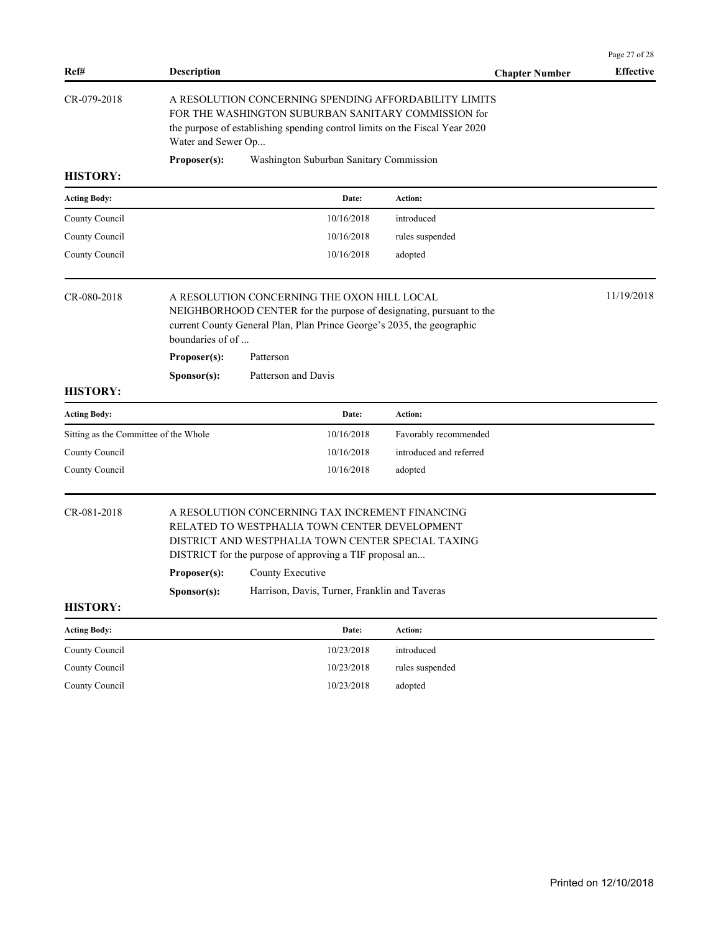|                                       |                                                                                                                                                                                                                   |                         | Page 27 of 28<br><b>Effective</b> |
|---------------------------------------|-------------------------------------------------------------------------------------------------------------------------------------------------------------------------------------------------------------------|-------------------------|-----------------------------------|
| Ref#                                  | <b>Description</b>                                                                                                                                                                                                | <b>Chapter Number</b>   |                                   |
| CR-079-2018                           | A RESOLUTION CONCERNING SPENDING AFFORDABILITY LIMITS<br>FOR THE WASHINGTON SUBURBAN SANITARY COMMISSION for<br>the purpose of establishing spending control limits on the Fiscal Year 2020<br>Water and Sewer Op |                         |                                   |
|                                       | Proposer(s):<br>Washington Suburban Sanitary Commission                                                                                                                                                           |                         |                                   |
| <b>HISTORY:</b>                       |                                                                                                                                                                                                                   |                         |                                   |
| <b>Acting Body:</b>                   | Date:                                                                                                                                                                                                             | Action:                 |                                   |
| County Council                        | 10/16/2018                                                                                                                                                                                                        | introduced              |                                   |
| County Council                        | 10/16/2018                                                                                                                                                                                                        | rules suspended         |                                   |
| County Council                        | 10/16/2018                                                                                                                                                                                                        | adopted                 |                                   |
| CR-080-2018                           | A RESOLUTION CONCERNING THE OXON HILL LOCAL<br>NEIGHBORHOOD CENTER for the purpose of designating, pursuant to the<br>current County General Plan, Plan Prince George's 2035, the geographic<br>boundaries of of  |                         | 11/19/2018                        |
|                                       | Proposer(s):<br>Patterson                                                                                                                                                                                         |                         |                                   |
|                                       | Sponsor(s):<br>Patterson and Davis                                                                                                                                                                                |                         |                                   |
| <b>HISTORY:</b>                       |                                                                                                                                                                                                                   |                         |                                   |
| <b>Acting Body:</b>                   | Date:                                                                                                                                                                                                             | Action:                 |                                   |
| Sitting as the Committee of the Whole | 10/16/2018                                                                                                                                                                                                        | Favorably recommended   |                                   |
| County Council                        | 10/16/2018                                                                                                                                                                                                        | introduced and referred |                                   |
| County Council                        | 10/16/2018                                                                                                                                                                                                        | adopted                 |                                   |
| CR-081-2018                           | A RESOLUTION CONCERNING TAX INCREMENT FINANCING<br>RELATED TO WESTPHALIA TOWN CENTER DEVELOPMENT<br>DISTRICT AND WESTPHALIA TOWN CENTER SPECIAL TAXING<br>DISTRICT for the purpose of approving a TIF proposal an |                         |                                   |
|                                       | County Executive<br>Proposer(s):                                                                                                                                                                                  |                         |                                   |
|                                       | Sponsor(s):<br>Harrison, Davis, Turner, Franklin and Taveras                                                                                                                                                      |                         |                                   |
| <b>HISTORY:</b>                       |                                                                                                                                                                                                                   |                         |                                   |
| <b>Acting Body:</b>                   | Date:                                                                                                                                                                                                             | Action:                 |                                   |
| County Council                        | 10/23/2018                                                                                                                                                                                                        | introduced              |                                   |
| County Council                        | 10/23/2018                                                                                                                                                                                                        | rules suspended         |                                   |
| County Council                        | 10/23/2018                                                                                                                                                                                                        | adopted                 |                                   |